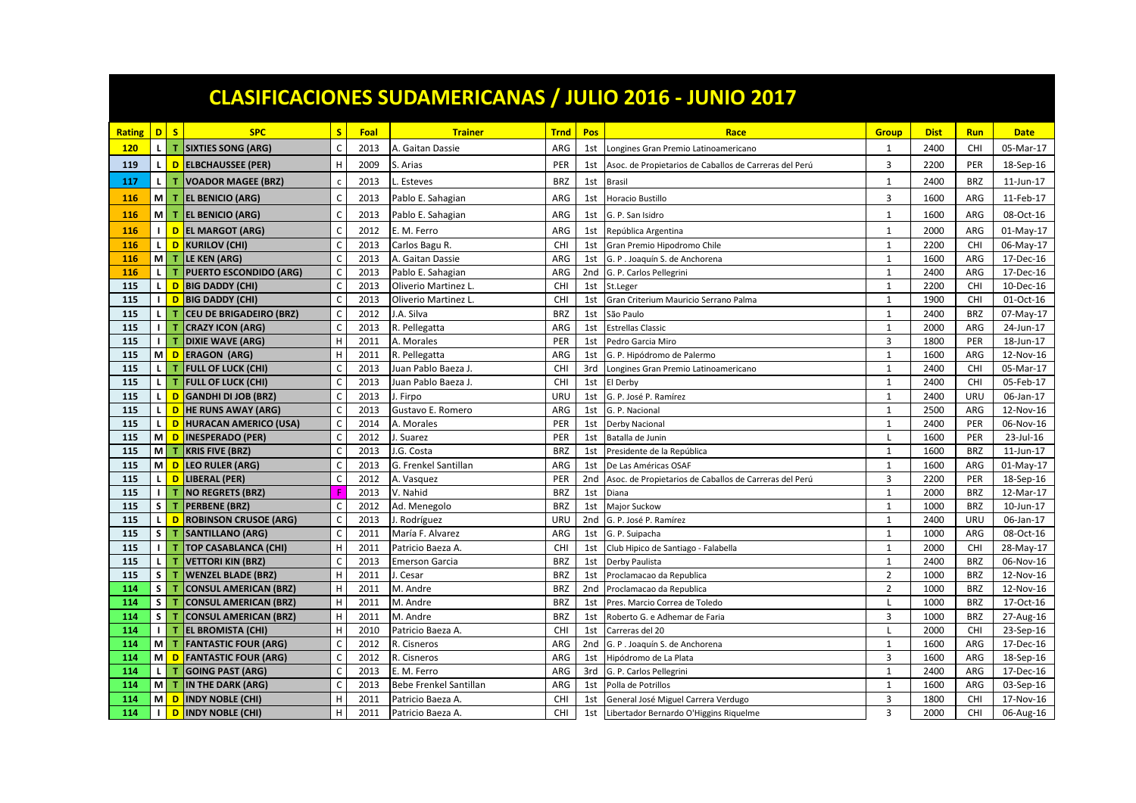|               |              |                |                                  |                   |      |                        |             |                 | <b>CLASIFICACIONES SUDAMERICANAS / JULIO 2016 - JUNIO 2017</b> |                |             |            |             |
|---------------|--------------|----------------|----------------------------------|-------------------|------|------------------------|-------------|-----------------|----------------------------------------------------------------|----------------|-------------|------------|-------------|
| <b>Rating</b> |              | D S            | <b>SPC</b>                       | S                 | Foal | <b>Trainer</b>         | <b>Trnd</b> | Pos             | Race                                                           | <b>Group</b>   | <b>Dist</b> | <b>Run</b> | <b>Date</b> |
| <b>120</b>    | $\mathbf{L}$ | $\mathbf{T}$   | <b>SIXTIES SONG (ARG)</b>        | $\mathsf{C}$      | 2013 | A. Gaitan Dassie       | ARG         | 1st             | Longines Gran Premio Latinoamericano                           | 1              | 2400        | <b>CHI</b> | 05-Mar-17   |
| 119           | L.           | D              | <b>ELBCHAUSSEE (PER)</b>         | н                 | 2009 | S. Arias               | PER         | 1st             | Asoc. de Propietarios de Caballos de Carreras del Perú         | 3              | 2200        | PER        | 18-Sep-16   |
| 117           | $\mathbf L$  |                | <b>VOADOR MAGEE (BRZ)</b>        | $\mathsf{C}$      | 2013 | L. Esteves             | <b>BRZ</b>  | 1st             | <b>Brasil</b>                                                  | $\mathbf 1$    | 2400        | <b>BRZ</b> | 11-Jun-17   |
| <b>116</b>    |              | MI T           | <b>EL BENICIO (ARG)</b>          | $\mathsf{C}$      | 2013 | Pablo E. Sahagian      | ARG         | 1st             | <b>Horacio Bustillo</b>                                        | $\overline{3}$ | 1600        | ARG        | 11-Feb-17   |
| 116           |              | M T            | <b>EL BENICIO (ARG)</b>          | C                 | 2013 | Pablo E. Sahagian      | ARG         | 1st             | G. P. San Isidro                                               | $\mathbf{1}$   | 1600        | ARG        | 08-Oct-16   |
| 116           | $\mathbf{L}$ | D              | <b>EL MARGOT (ARG)</b>           | $\mathsf{C}$      | 2012 | E. M. Ferro            | ARG         | 1st             | República Argentina                                            | $\mathbf{1}$   | 2000        | ARG        | 01-May-17   |
| 116           | $\mathbf{L}$ | D              | KURILOV (CHI)                    | $\mathsf{C}$      | 2013 | Carlos Bagu R.         | CHI         | 1st             | Gran Premio Hipodromo Chile                                    | $\mathbf{1}$   | 2200        | <b>CHI</b> | 06-May-17   |
| 116           |              | M T            | LE KEN (ARG)                     | $\mathsf{C}$      | 2013 | A. Gaitan Dassie       | ARG         | 1st             | G. P. Joaquín S. de Anchorena                                  | $\mathbf{1}$   | 1600        | ARG        | 17-Dec-16   |
| 116           |              | LI T           | <b>PUERTO ESCONDIDO (ARG)</b>    | $\mathsf{C}$      | 2013 | Pablo E. Sahagian      | ARG         | 2nd             | G. P. Carlos Pellegrini                                        | $\mathbf{1}$   | 2400        | ARG        | 17-Dec-16   |
| 115           |              |                | L <mark>D BIG DADDY (CHI)</mark> | $\mathsf{C}$      | 2013 | Oliverio Martinez L    | CHI         | 1st             | St.Leger                                                       | $\mathbf{1}$   | 2200        | CHI        | 10-Dec-16   |
| 115           |              | $\blacksquare$ | <b>BIG DADDY (CHI)</b>           | $\mathsf C$       | 2013 | Oliverio Martinez L    | <b>CHI</b>  | 1st             | Gran Criterium Mauricio Serrano Palma                          | $\mathbf{1}$   | 1900        | <b>CHI</b> | 01-Oct-16   |
| 115           | $\mathbf{L}$ | т              | <b>CEU DE BRIGADEIRO (BRZ)</b>   | $\mathsf{C}$      | 2012 | J.A. Silva             | <b>BRZ</b>  | 1st             | São Paulo                                                      | $\mathbf{1}$   | 2400        | <b>BRZ</b> | 07-May-17   |
| 115           |              | 11T            | <b>CRAZY ICON (ARG)</b>          | $\mathsf C$       | 2013 | R. Pellegatta          | ARG         | 1st             | <b>Estrellas Classic</b>                                       | $\mathbf{1}$   | 2000        | ARG        | 24-Jun-17   |
| 115           |              | 11T            | <b>DIXIE WAVE (ARG)</b>          | H                 | 2011 | A. Morales             | PER         | 1st             | Pedro Garcia Miro                                              | $\overline{3}$ | 1800        | PER        | 18-Jun-17   |
| 115           |              | M D            | <b>ERAGON (ARG)</b>              | $\mathsf H$       | 2011 | R. Pellegatta          | ARG         | 1st             | G. P. Hipódromo de Palermo                                     | $\mathbf{1}$   | 1600        | ARG        | 12-Nov-16   |
| 115           | $\mathbf{L}$ | l T            | <b>FULL OF LUCK (CHI)</b>        | $\mathsf{C}$      | 2013 | Juan Pablo Baeza J.    | CHI         | 3rd             | Longines Gran Premio Latinoamericano                           | 1              | 2400        | <b>CHI</b> | 05-Mar-17   |
| 115           | $\mathbf{L}$ | T.             | <b>FULL OF LUCK (CHI)</b>        | C                 | 2013 | Juan Pablo Baeza J.    | CHI         | 1st             | El Derby                                                       | $\mathbf{1}$   | 2400        | CHI        | 05-Feb-17   |
| 115           |              | L D            | <b>GANDHI DI JOB (BRZ)</b>       | C                 | 2013 | J. Firpo               | URU         | 1st             | G. P. José P. Ramírez                                          | $\mathbf{1}$   | 2400        | URU        | 06-Jan-17   |
| 115           |              | L D            | <b>HE RUNS AWAY (ARG)</b>        | $\mathsf{C}$      | 2013 | Gustavo E. Romero      | ARG         | 1st             | G. P. Nacional                                                 | $\mathbf{1}$   | 2500        | ARG        | 12-Nov-16   |
| 115           |              | L D            | <b>HURACAN AMERICO (USA)</b>     | $\mathsf{C}$      | 2014 | A. Morales             | PER         | 1st             | Derby Nacional                                                 | $\mathbf{1}$   | 2400        | PER        | 06-Nov-16   |
| 115           |              | M D            | <b>INESPERADO (PER)</b>          | C                 | 2012 | I. Suarez              | PER         | 1st             | Batalla de Junin                                               | $\mathbf{I}$   | 1600        | PER        | 23-Jul-16   |
| 115           |              | M T            | <b>KRIS FIVE (BRZ)</b>           | $\mathsf{C}$      | 2013 | I.G. Costa             | <b>BRZ</b>  | 1st             | Presidente de la República                                     | $\mathbf{1}$   | 1600        | <b>BRZ</b> | 11-Jun-17   |
| 115           |              | M D            | <b>LEO RULER (ARG)</b>           | $\mathsf{C}$      | 2013 | G. Frenkel Santillan   | ARG         | 1st             | De Las Américas OSAF                                           | $\mathbf{1}$   | 1600        | ARG        | 01-May-17   |
| 115           |              | L D            | <b>LIBERAL (PER)</b>             | $\mathsf{C}$      | 2012 | A. Vasquez             | PER         | 2 <sub>nd</sub> | Asoc. de Propietarios de Caballos de Carreras del Perú         | 3              | 2200        | PER        | 18-Sep-16   |
| 115           |              | 11T            | <b>NO REGRETS (BRZ)</b>          | F                 | 2013 | V. Nahid               | <b>BRZ</b>  | 1st             | Diana                                                          | $\mathbf{1}$   | 2000        | <b>BRZ</b> | 12-Mar-17   |
| 115           |              | $S$ $T$        | <b>PERBENE (BRZ)</b>             | C                 | 2012 | Ad. Menegolo           | <b>BRZ</b>  | 1st             | Major Suckow                                                   | $\mathbf{1}$   | 1000        | <b>BRZ</b> | 10-Jun-17   |
| 115           | $\mathbf{L}$ | D              | <b>ROBINSON CRUSOE (ARG)</b>     | $\mathsf{C}$      | 2013 | J. Rodríguez           | URL         | 2nd             | G. P. José P. Ramírez                                          | $\overline{1}$ | 2400        | <b>URU</b> | 06-Jan-17   |
| 115           |              | $S$ $T$        | <b>SANTILLANO (ARG)</b>          | C                 | 2011 | María F. Alvarez       | ARG         | 1st             | G. P. Suipacha                                                 | $\mathbf{1}$   | 1000        | ARG        | 08-Oct-16   |
| 115           |              | 11T            | <b>TOP CASABLANCA (CHI)</b>      | H                 | 2011 | Patricio Baeza A.      | CHI         | 1st             | Club Hipico de Santiago - Falabella                            | $\mathbf{1}$   | 2000        | <b>CHI</b> | 28-May-17   |
| 115           |              | L I T          | <b>VETTORI KIN (BRZ)</b>         | $\mathsf{C}$      | 2013 | <b>Emerson Garcia</b>  | <b>BRZ</b>  | 1st             | Derby Paulista                                                 | $\mathbf{1}$   | 2400        | <b>BRZ</b> | 06-Nov-16   |
| 115           | S            | $\mathbf T$    | <b>WENZEL BLADE (BRZ)</b>        | $\mathsf H$       | 2011 | J. Cesar               | <b>BRZ</b>  | 1st             | Proclamacao da Republica                                       | $\overline{2}$ | 1000        | <b>BRZ</b> | 12-Nov-16   |
| 114           |              | $S$ $T$        | <b>CONSUL AMERICAN (BRZ)</b>     | H                 | 2011 | M. Andre               | <b>BRZ</b>  | 2nd             | Proclamacao da Republica                                       | $\overline{2}$ | 1000        | <b>BRZ</b> | 12-Nov-16   |
| 114           |              | $S$ $T$        | <b>CONSUL AMERICAN (BRZ)</b>     | H                 | 2011 | M. Andre               | <b>BRZ</b>  | 1st             | Pres. Marcio Correa de Toledo                                  | п.             | 1000        | <b>BRZ</b> | 17-Oct-16   |
| 114           |              | $S$ $T$        | <b>CONSUL AMERICAN (BRZ)</b>     | H                 | 2011 | M. Andre               | <b>BRZ</b>  | 1st             | Roberto G. e Adhemar de Faria                                  | $\overline{3}$ | 1000        | <b>BRZ</b> | 27-Aug-16   |
| 114           |              | 11T            | <b>EL BROMISTA (CHI)</b>         | H                 | 2010 | Patricio Baeza A.      | <b>CHI</b>  | 1st             | Carreras del 20                                                | $\mathbf{I}$   | 2000        | <b>CHI</b> | 23-Sep-16   |
| 114           |              | MI T           | <b>FANTASTIC FOUR (ARG)</b>      | $\mathsf{C}$      | 2012 | R. Cisneros            | ARG         | 2nd             | G. P. Joaquín S. de Anchorena                                  | $\overline{1}$ | 1600        | ARG        | 17-Dec-16   |
| 114           |              | M D            | <b>FANTASTIC FOUR (ARG)</b>      | $\mathsf{C}$      | 2012 | R. Cisneros            | ARG         | 1st             | Hipódromo de La Plata                                          | 3              | 1600        | ARG        | 18-Sep-16   |
| 114           |              | LI T           | <b>GOING PAST (ARG)</b>          | C<br>$\mathsf{C}$ | 2013 | E. M. Ferro            | ARG         | 3rd             | G. P. Carlos Pellegrini                                        | $\mathbf{1}$   | 2400        | ARG        | 17-Dec-16   |
| 114           |              | MI T<br>M D    | <b>IN THE DARK (ARG)</b>         | H                 | 2013 | Bebe Frenkel Santillan | ARG         | 1st             | Polla de Potrillos                                             | $\mathbf{1}$   | 1600        | ARG        | 03-Sep-16   |
| 114           |              |                | <b>INDY NOBLE (CHI)</b>          |                   | 2011 | Patricio Baeza A.      | CHI         | 1st             | General José Miguel Carrera Verdugo                            | 3              | 1800        | CHI        | 17-Nov-16   |
| 114           | $\mathbf{I}$ | D              | <b>INDY NOBLE (CHI)</b>          | Н                 | 2011 | Patricio Baeza A.      | <b>CHI</b>  | 1st             | Libertador Bernardo O'Higgins Riquelme                         | $\overline{3}$ | 2000        | CHI        | 06-Aug-16   |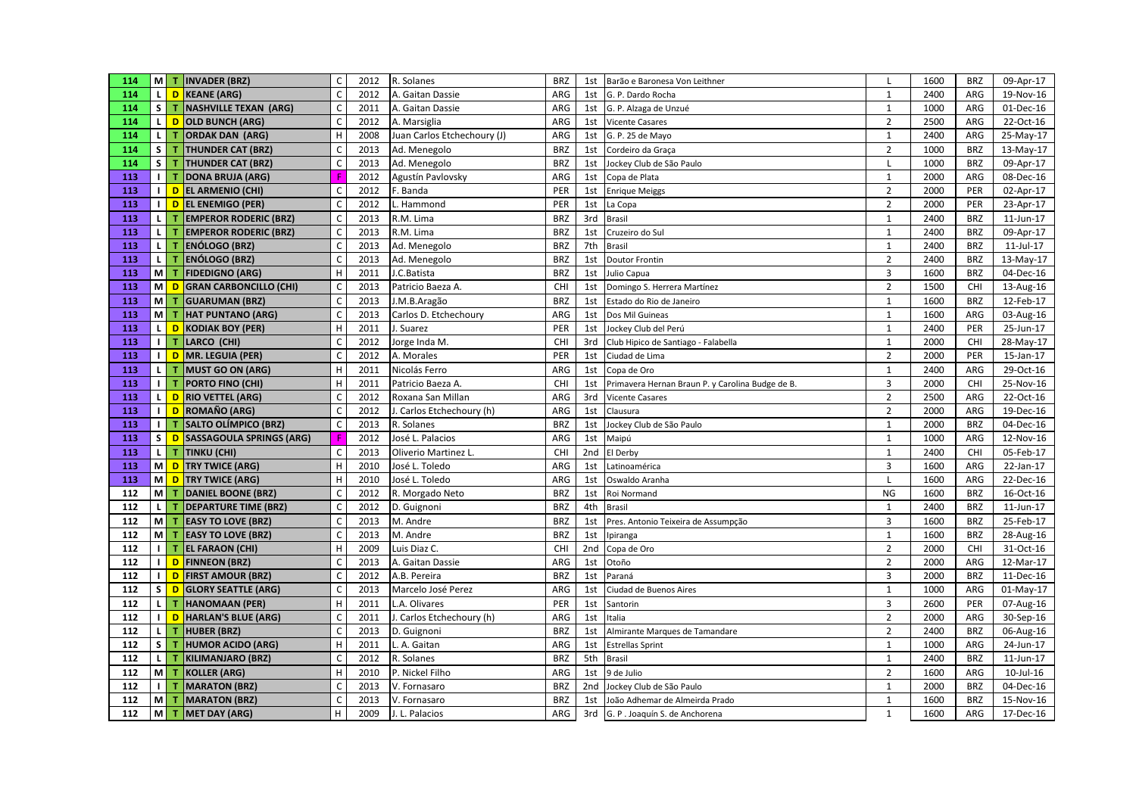| 114 |              | M T INVADER (BRZ)                            | $\mathsf{C}$ | 2012 | R. Solanes                  | <b>BRZ</b> | 1st             | Barão e Baronesa Von Leithner                    | $\mathsf{L}$            | 1600 | <b>BRZ</b> | 09-Apr-17 |
|-----|--------------|----------------------------------------------|--------------|------|-----------------------------|------------|-----------------|--------------------------------------------------|-------------------------|------|------------|-----------|
| 114 |              | L D KEANE (ARG)                              | $\mathsf{C}$ | 2012 | A. Gaitan Dassie            | ARG        | 1st             | G. P. Dardo Rocha                                | $\mathbf{1}$            | 2400 | ARG        | 19-Nov-16 |
| 114 |              | S   T   NASHVILLE TEXAN (ARG)                | $\mathsf{C}$ | 2011 | A. Gaitan Dassie            | ARG        | 1st             | G. P. Alzaga de Unzué                            | $\mathbf{1}$            | 1000 | ARG        | 01-Dec-16 |
| 114 |              | L D OLD BUNCH (ARG)                          | $\mathsf C$  | 2012 | A. Marsiglia                | ARG        | 1st             | Vicente Casares                                  | $\overline{2}$          | 2500 | ARG        | 22-Oct-16 |
| 114 | $\mathbf{L}$ | <b>ORDAK DAN (ARG)</b><br>l T                | H            | 2008 | Juan Carlos Etchechoury (J) | ARG        | 1st             | G. P. 25 de Mayo                                 | $\mathbf{1}$            | 2400 | ARG        | 25-May-17 |
| 114 |              | $S$ $T$<br><b>THUNDER CAT (BRZ)</b>          | $\mathsf C$  | 2013 | Ad. Menegolo                | <b>BRZ</b> | 1st             | Cordeiro da Graça                                | $\overline{2}$          | 1000 | <b>BRZ</b> | 13-May-17 |
| 114 |              | $S$ $T$<br><b>THUNDER CAT (BRZ)</b>          | $\mathsf C$  | 2013 | Ad. Menegolo                | <b>BRZ</b> | 1st             | Jockey Club de São Paulo                         | L                       | 1000 | <b>BRZ</b> | 09-Apr-17 |
| 113 |              | 11T<br><b>DONA BRUJA (ARG)</b>               |              | 2012 | Agustín Pavlovsky           | ARG        | 1st             | Copa de Plata                                    | $\mathbf{1}$            | 2000 | ARG        | 08-Dec-16 |
| 113 |              | I D EL ARMENIO (CHI)                         | $\mathsf{C}$ | 2012 | F. Banda                    | PER        | 1st             | <b>Enrique Meiggs</b>                            | $\overline{2}$          | 2000 | PER        | 02-Apr-17 |
| 113 |              | I D EL ENEMIGO (PER)                         | $\mathsf C$  | 2012 | L. Hammond                  | PER        | 1st             | La Copa                                          | $\overline{2}$          | 2000 | PER        | 23-Apr-17 |
| 113 |              | LI T<br><b>EMPEROR RODERIC (BRZ)</b>         | $\mathsf C$  | 2013 | R.M. Lima                   | <b>BRZ</b> | 3rd             | <b>Brasil</b>                                    | $\mathbf{1}$            | 2400 | <b>BRZ</b> | 11-Jun-17 |
| 113 | $\mathbf{L}$ | <b>EMPEROR RODERIC (BRZ)</b><br>T.           | $\mathsf C$  | 2013 | R.M. Lima                   | <b>BRZ</b> | 1st             | Cruzeiro do Sul                                  | $\mathbf{1}$            | 2400 | <b>BRZ</b> | 09-Apr-17 |
| 113 | $\mathbf{L}$ | <b>ENÓLOGO (BRZ)</b><br>$\mathbf{T}$         | $\mathsf C$  | 2013 | Ad. Menegolo                | <b>BRZ</b> | 7th             | <b>Brasil</b>                                    | $\mathbf{1}$            | 2400 | <b>BRZ</b> | 11-Jul-17 |
| 113 |              | L T<br><b>ENÓLOGO (BRZ)</b>                  | $\mathsf{C}$ | 2013 | Ad. Menegolo                | <b>BRZ</b> | 1st             | Doutor Frontin                                   | $\overline{2}$          | 2400 | <b>BRZ</b> | 13-May-17 |
| 113 |              | M T<br><b>FIDEDIGNO (ARG)</b>                | $\mathsf H$  | 2011 | J.C.Batista                 | <b>BRZ</b> | 1st             | Julio Capua                                      | $\overline{3}$          | 1600 | <b>BRZ</b> | 04-Dec-16 |
| 113 |              | M D<br><b>GRAN CARBONCILLO (CHI)</b>         | $\mathsf C$  | 2013 | Patricio Baeza A.           | CHI        | 1st             | Domingo S. Herrera Martínez                      | $\overline{2}$          | 1500 | CHI        | 13-Aug-16 |
| 113 |              | M T<br><b>GUARUMAN (BRZ)</b>                 | $\mathsf C$  | 2013 | J.M.B.Aragão                | <b>BRZ</b> | 1st             | Estado do Rio de Janeiro                         | $\mathbf{1}$            | 1600 | <b>BRZ</b> | 12-Feb-17 |
| 113 |              | M T<br><b>HAT PUNTANO (ARG)</b>              | $\mathsf{C}$ | 2013 | Carlos D. Etchechoury       | ARG        | 1st             | Dos Mil Guineas                                  | $\mathbf{1}$            | 1600 | ARG        | 03-Aug-16 |
| 113 |              | L D KODIAK BOY (PER)                         | H            | 2011 | J. Suarez                   | PER        | 1st             | Jockey Club del Perú                             | $\mathbf{1}$            | 2400 | PER        | 25-Jun-17 |
| 113 |              | 11T<br>LARCO (CHI)                           | $\mathsf{C}$ | 2012 | Jorge Inda M.               | CHI        | 3rd             | Club Hipico de Santiago - Falabella              | $\mathbf{1}$            | 2000 | CHI        | 28-May-17 |
| 113 |              | I D MR. LEGUIA (PER)                         | $\mathsf C$  | 2012 | A. Morales                  | PER        | 1st             | Ciudad de Lima                                   | $\overline{2}$          | 2000 | PER        | 15-Jan-17 |
| 113 |              | $L$ T MUST GO ON (ARG)                       | H            | 2011 | Nicolás Ferro               | ARG        | 1st             | Copa de Oro                                      | 1                       | 2400 | ARG        | 29-Oct-16 |
| 113 |              | $\blacksquare$<br><b>PORTO FINO (CHI)</b>    | H            | 2011 | Patricio Baeza A.           | <b>CHI</b> | 1st             | Primavera Hernan Braun P. y Carolina Budge de B. | $\overline{\mathbf{3}}$ | 2000 | CHI        | 25-Nov-16 |
| 113 |              | L D RIO VETTEL (ARG)                         | $\mathsf C$  | 2012 | Roxana San Millan           | ARG        | 3rd             | <b>Vicente Casares</b>                           | $\overline{2}$          | 2500 | ARG        | 22-Oct-16 |
| 113 |              | I D ROMAÑO (ARG)                             | $\mathsf{C}$ | 2012 | J. Carlos Etchechoury (h)   | ARG        | 1st             | Clausura                                         | $\overline{2}$          | 2000 | ARG        | 19-Dec-16 |
| 113 |              | 11T<br><b>SALTO OLÍMPICO (BRZ)</b>           | $\mathsf{C}$ | 2013 | R. Solanes                  | <b>BRZ</b> | 1st             | Jockey Club de São Paulo                         | $\mathbf{1}$            | 2000 | <b>BRZ</b> | 04-Dec-16 |
| 113 |              | S D SASSAGOULA SPRINGS (ARG)                 |              | 2012 | José L. Palacios            | ARG        | 1st             | Maipú                                            | $\mathbf{1}$            | 1000 | ARG        | 12-Nov-16 |
| 113 |              | L T TINKU (CHI)                              | $\mathsf C$  | 2013 | Oliverio Martinez L.        | <b>CHI</b> | 2 <sub>nd</sub> | El Derby                                         | $\mathbf{1}$            | 2400 | CHI        | 05-Feb-17 |
| 113 |              | M D TRY TWICE (ARG)                          | H            | 2010 | José L. Toledo              | ARG        | 1st             | Latinoamérica                                    | 3                       | 1600 | ARG        | 22-Jan-17 |
| 113 |              | M D TRY TWICE (ARG)                          | H            | 2010 | José L. Toledo              | ARG        | 1st             | Oswaldo Aranha                                   |                         | 1600 | ARG        | 22-Dec-16 |
| 112 |              | M   T   DANIEL BOONE (BRZ)                   | $\mathsf C$  | 2012 | R. Morgado Neto             | <b>BRZ</b> | 1st             | Roi Normand                                      | <b>NG</b>               | 1600 | <b>BRZ</b> | 16-Oct-16 |
| 112 |              | L T DEPARTURE TIME (BRZ)                     | $\mathsf C$  | 2012 | D. Guignoni                 | <b>BRZ</b> | 4th             | <b>Brasil</b>                                    | $\mathbf{1}$            | 2400 | <b>BRZ</b> | 11-Jun-17 |
| 112 |              | M   T   EASY TO LOVE (BRZ)                   | $\mathsf C$  | 2013 | M. Andre                    | <b>BRZ</b> | 1st             | Pres. Antonio Teixeira de Assumpção              | $\overline{\mathbf{3}}$ | 1600 | <b>BRZ</b> | 25-Feb-17 |
| 112 |              | M T EASY TO LOVE (BRZ)                       | $\mathsf C$  | 2013 | M. Andre                    | <b>BRZ</b> | 1st             | Ipiranga                                         | $\mathbf{1}$            | 1600 | <b>BRZ</b> | 28-Aug-16 |
| 112 |              | <b>TEL FARAON (CHI)</b>                      | H            | 2009 | Luis Diaz C.                | CHI        | 2nd             | Copa de Oro                                      | $\overline{2}$          | 2000 | CHI        | 31-Oct-16 |
| 112 |              | I D FINNEON (BRZ)                            | $\mathsf{C}$ | 2013 | A. Gaitan Dassie            | ARG        | 1st             | Otoño                                            | $\overline{2}$          | 2000 | ARG        | 12-Mar-17 |
| 112 |              | I D FIRST AMOUR (BRZ)                        | $\mathsf C$  | 2012 | A.B. Pereira                | <b>BRZ</b> | 1st             | Paraná                                           | $\overline{3}$          | 2000 | <b>BRZ</b> | 11-Dec-16 |
| 112 |              | S D GLORY SEATTLE (ARG)                      | $\mathsf{C}$ | 2013 | Marcelo José Perez          | ARG        | 1st             | Ciudad de Buenos Aires                           | $\mathbf{1}$            | 1000 | ARG        | 01-May-17 |
| 112 |              | LI TI<br><b>HANOMAAN (PER)</b>               | $\mathsf H$  | 2011 | L.A. Olivares               | PER        | 1st             | Santorin                                         | $\overline{3}$          | 2600 | PER        | 07-Aug-16 |
| 112 |              | $\blacksquare$<br><b>HARLAN'S BLUE (ARG)</b> | $\mathsf C$  | 2011 | J. Carlos Etchechoury (h)   | ARG        | 1st             | Italia                                           | $\overline{2}$          | 2000 | ARG        | 30-Sep-16 |
| 112 |              | LIT.<br><b>HUBER (BRZ)</b>                   | $\mathsf{C}$ | 2013 | D. Guignoni                 | <b>BRZ</b> | 1st             | Almirante Marques de Tamandare                   | $\overline{2}$          | 2400 | <b>BRZ</b> | 06-Aug-16 |
| 112 |              | $S$ $T$<br><b>HUMOR ACIDO (ARG)</b>          | H            | 2011 | L. A. Gaitan                | ARG        | 1st             | <b>Estrellas Sprint</b>                          | $\mathbf{1}$            | 1000 | ARG        | 24-Jun-17 |
| 112 |              | LI TI<br><b>KILIMANJARO (BRZ)</b>            | $\mathsf{C}$ | 2012 | R. Solanes                  | <b>BRZ</b> | 5th             | Brasil                                           | $\mathbf{1}$            | 2400 | <b>BRZ</b> | 11-Jun-17 |
| 112 |              | $M$ T<br><b>KOLLER (ARG)</b>                 | H            | 2010 | P. Nickel Filho             | ARG        | 1st             | 9 de Julio                                       | $\overline{2}$          | 1600 | ARG        | 10-Jul-16 |
| 112 |              | 11T<br><b>MARATON (BRZ)</b>                  | $\mathsf{C}$ | 2013 | V. Fornasaro                | <b>BRZ</b> | 2 <sub>nd</sub> | Jockey Club de São Paulo                         | $\mathbf{1}$            | 2000 | <b>BRZ</b> | 04-Dec-16 |
| 112 |              | M   T   MARATON (BRZ)                        | $\mathsf{C}$ | 2013 | V. Fornasaro                | <b>BRZ</b> | 1st             | João Adhemar de Almeirda Prado                   | $\mathbf{1}$            | 1600 | <b>BRZ</b> | 15-Nov-16 |
| 112 |              | $M$ T<br><b>MET DAY (ARG)</b>                | H            | 2009 | J. L. Palacios              | ARG        | 3rd             | G. P. Joaquín S. de Anchorena                    | $\mathbf{1}$            | 1600 | ARG        | 17-Dec-16 |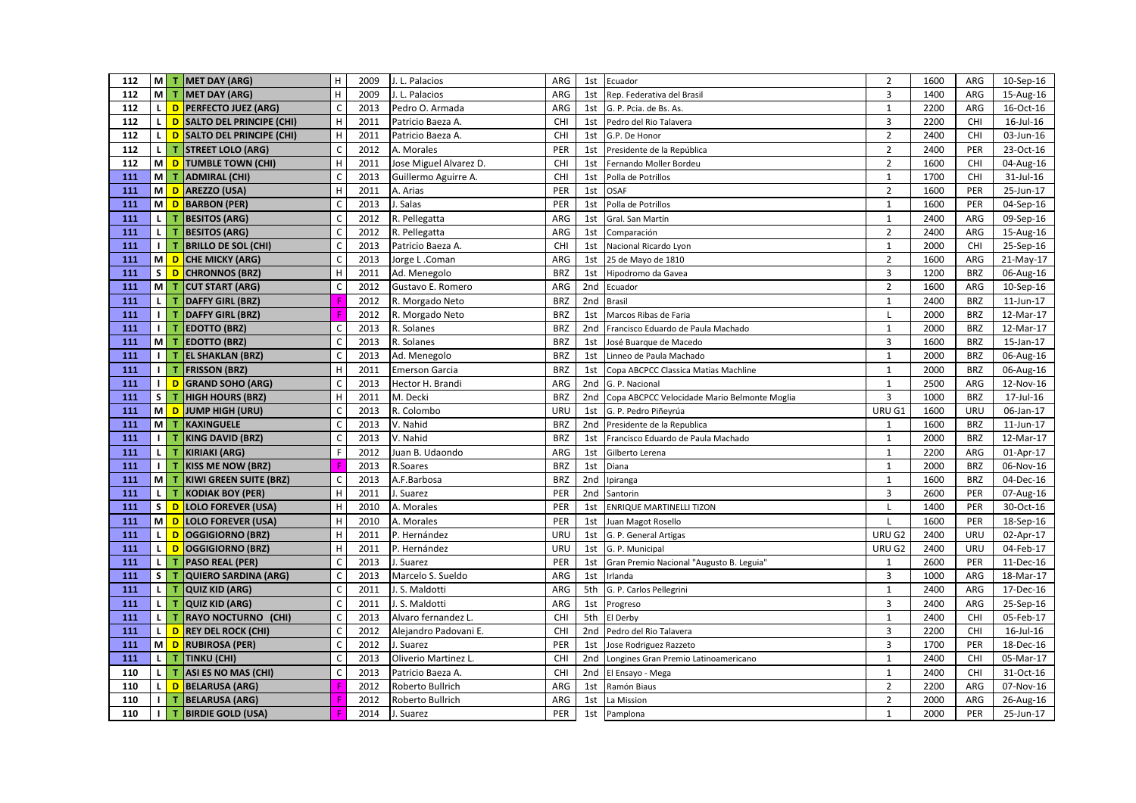| 112 |                |     | M   T   MET DAY (ARG)             | H                         | 2009 | J. L. Palacios         | ARG        |                 | 1st Ecuador                                  | $\overline{2}$          | 1600 | ARG        | 10-Sep-16 |
|-----|----------------|-----|-----------------------------------|---------------------------|------|------------------------|------------|-----------------|----------------------------------------------|-------------------------|------|------------|-----------|
| 112 | <b>M</b>       | T   | MET DAY (ARG)                     | H                         | 2009 | J. L. Palacios         | ARG        | 1st             | Rep. Federativa del Brasil                   | $\overline{3}$          | 1400 | ARG        | 15-Aug-16 |
| 112 | <b>L</b>       |     | D PERFECTO JUEZ (ARG)             | $\mathsf{C}$              | 2013 | Pedro O. Armada        | ARG        |                 | 1st G. P. Pcia. de Bs. As.                   | $\mathbf{1}$            | 2200 | ARG        | 16-Oct-16 |
| 112 | $\mathbf{L}$   |     | D SALTO DEL PRINCIPE (CHI)        | $\mathsf H$               | 2011 | Patricio Baeza A.      | CHI        | 1st             | Pedro del Rio Talavera                       | $\overline{3}$          | 2200 | CHI        | 16-Jul-16 |
| 112 | $\mathbf{L}$   |     | <b>D</b> SALTO DEL PRINCIPE (CHI) | $\mathsf H$               | 2011 | Patricio Baeza A.      | CHI        | 1st             | G.P. De Honor                                | $\overline{2}$          | 2400 | CHI        | 03-Jun-16 |
| 112 | $\mathsf{L}$   | т   | <b>STREET LOLO (ARG)</b>          | $\mathsf C$               | 2012 | A. Morales             | PER        | 1st             | Presidente de la República                   | $\mathbf 2$             | 2400 | PER        | 23-Oct-16 |
| 112 |                |     | M D TUMBLE TOWN (CHI)             | H                         | 2011 | Jose Miguel Alvarez D. | CHI        | 1st             | Fernando Moller Bordeu                       | $\overline{2}$          | 1600 | CHI        | 04-Aug-16 |
| 111 |                | M T | ADMIRAL (CHI)                     | $\mathsf{C}$              | 2013 | Guillermo Aguirre A.   | CHI        | 1st             | Polla de Potrillos                           | $\mathbf{1}$            | 1700 | CHI        | 31-Jul-16 |
| 111 | мI             |     | D   AREZZO (USA)                  | $\mathsf H$               | 2011 | A. Arias               | PER        | 1st             | <b>OSAF</b>                                  | $\overline{2}$          | 1600 | PER        | 25-Jun-17 |
| 111 | мI             |     | D BARBON (PER)                    | $\mathsf C$               | 2013 | J. Salas               | PER        | 1st             | Polla de Potrillos                           | $\mathbf{1}$            | 1600 | PER        | 04-Sep-16 |
| 111 | $\mathsf{L}$   | т   | <b>BESITOS (ARG)</b>              | $\mathsf C$               | 2012 | R. Pellegatta          | ARG        | 1st             | Gral. San Martín                             | $\mathbf{1}$            | 2400 | ARG        | 09-Sep-16 |
| 111 | $\mathbf{L}$   | т   | <b>BESITOS (ARG)</b>              | $\mathsf C$               | 2012 | R. Pellegatta          | ARG        | 1st             | Comparación                                  | $\mathbf 2$             | 2400 | ARG        | 15-Aug-16 |
| 111 | $\perp$        | т   | <b>BRILLO DE SOL (CHI)</b>        | $\mathsf{C}$              | 2013 | Patricio Baeza A.      | CHI        | 1st             | Nacional Ricardo Lyon                        | $\mathbf{1}$            | 2000 | CHI        | 25-Sep-16 |
| 111 | мI             |     | D CHE MICKY (ARG)                 | $\mathsf{C}$              | 2013 | Jorge L.Coman          | ARG        | 1st             | 25 de Mayo de 1810                           | $\overline{2}$          | 1600 | ARG        | 21-May-17 |
| 111 | s l            |     | D CHRONNOS (BRZ)                  | $\mathsf H$               | 2011 | Ad. Menegolo           | <b>BRZ</b> | 1st             | Hipodromo da Gavea                           | $\overline{3}$          | 1200 | <b>BRZ</b> | 06-Aug-16 |
| 111 | <b>M</b>       | T   | <b>CUT START (ARG)</b>            | $\mathsf{C}$              | 2012 | Gustavo E. Romero      | ARG        | 2 <sub>nd</sub> | Ecuador                                      | $\overline{2}$          | 1600 | ARG        | 10-Sep-16 |
| 111 | $\mathbf{L}$   |     | <b>DAFFY GIRL (BRZ)</b>           |                           | 2012 | R. Morgado Neto        | <b>BRZ</b> | 2nd             | <b>Brasil</b>                                | $1\,$                   | 2400 | <b>BRZ</b> | 11-Jun-17 |
| 111 | $\perp$        | т   | DAFFY GIRL (BRZ)                  |                           | 2012 | R. Morgado Neto        | <b>BRZ</b> | 1st             | Marcos Ribas de Faria                        | $\mathsf{L}$            | 2000 | <b>BRZ</b> | 12-Mar-17 |
| 111 | $\perp$        | T   | <b>EDOTTO (BRZ)</b>               | $\mathsf C$               | 2013 | R. Solanes             | <b>BRZ</b> | 2 <sub>nd</sub> | Francisco Eduardo de Paula Machado           | $\mathbf{1}$            | 2000 | <b>BRZ</b> | 12-Mar-17 |
| 111 | <b>M</b>       | T   | <b>EDOTTO (BRZ)</b>               | $\mathsf{C}$              | 2013 | R. Solanes             | <b>BRZ</b> | 1st             | José Buarque de Macedo                       | $\overline{3}$          | 1600 | <b>BRZ</b> | 15-Jan-17 |
| 111 | $\perp$        | T   | <b>EL SHAKLAN (BRZ)</b>           | $\mathsf{C}$              | 2013 | Ad. Menegolo           | <b>BRZ</b> | 1st             | Linneo de Paula Machado                      | $\mathbf{1}$            | 2000 | <b>BRZ</b> | 06-Aug-16 |
| 111 | $\blacksquare$ | T   | <b>FRISSON (BRZ)</b>              | H                         | 2011 | <b>Emerson Garcia</b>  | <b>BRZ</b> | 1st             | Copa ABCPCC Classica Matias Machline         | $\mathbf{1}$            | 2000 | <b>BRZ</b> | 06-Aug-16 |
| 111 | $\blacksquare$ | D   | <b>GRAND SOHO (ARG)</b>           | $\mathsf C$               | 2013 | Hector H. Brandi       | ARG        |                 | 2nd G. P. Nacional                           | $\mathbf{1}$            | 2500 | ARG        | 12-Nov-16 |
| 111 | s              | т   | <b>HIGH HOURS (BRZ)</b>           | $\boldsymbol{\mathsf{H}}$ | 2011 | M. Decki               | <b>BRZ</b> | 2nd             | Copa ABCPCC Velocidade Mario Belmonte Moglia | $\overline{3}$          | 1000 | <b>BRZ</b> | 17-Jul-16 |
| 111 | M <sub>l</sub> | D   | JUMP HIGH (URU)                   | $\mathsf{C}$              | 2013 | R. Colombo             | URU        | 1st             | G. P. Pedro Piñeyrúa                         | URU G1                  | 1600 | URU        | 06-Jan-17 |
| 111 | мI             | T   | KAXINGUELE                        | $\mathsf{C}$              | 2013 | V. Nahid               | <b>BRZ</b> | 2 <sub>nd</sub> | Presidente de la Republica                   | $\mathbf{1}$            | 1600 | <b>BRZ</b> | 11-Jun-17 |
| 111 | $\blacksquare$ | т   | <b>KING DAVID (BRZ)</b>           | $\mathsf C$               | 2013 | V. Nahid               | <b>BRZ</b> | 1st             | Francisco Eduardo de Paula Machado           | 1                       | 2000 | <b>BRZ</b> | 12-Mar-17 |
| 111 | $\mathbf{L}$   | т   | <b>KIRIAKI (ARG)</b>              | $\mathsf F$               | 2012 | Juan B. Udaondo        | ARG        | 1st             | Gilberto Lerena                              | $\mathbf{1}$            | 2200 | ARG        | 01-Apr-17 |
| 111 | $\blacksquare$ |     | <b>KISS ME NOW (BRZ)</b>          |                           | 2013 | R.Soares               | <b>BRZ</b> | 1st             | Diana                                        | $\mathbf{1}$            | 2000 | <b>BRZ</b> | 06-Nov-16 |
| 111 | мI             | т   | KIWI GREEN SUITE (BRZ)            | $\mathsf C$               | 2013 | A.F.Barbosa            | <b>BRZ</b> | 2nd             | Ipiranga                                     | $\mathbf{1}$            | 1600 | <b>BRZ</b> | 04-Dec-16 |
| 111 | -L I           | T.  | <b>KODIAK BOY (PER)</b>           | H                         | 2011 | I. Suarez              | PER        | 2nd             | Santorin                                     | $\overline{3}$          | 2600 | PER        | 07-Aug-16 |
| 111 | s l            |     | D LOLO FOREVER (USA)              | $\mathsf H$               | 2010 | A. Morales             | PER        | 1st             | <b>ENRIQUE MARTINELLI TIZON</b>              |                         | 1400 | PER        | 30-Oct-16 |
| 111 | мI             |     | D LOLO FOREVER (USA)              | H                         | 2010 | A. Morales             | PER        | 1st             | Juan Magot Rosello                           |                         | 1600 | PER        | 18-Sep-16 |
| 111 | $\mathbf{L}$   | D   | OGGIGIORNO (BRZ)                  | H                         | 2011 | P. Hernández           | URU        | 1st             | G. P. General Artigas                        | URU G2                  | 2400 | URU        | 02-Apr-17 |
| 111 | $\mathbf{L}$   | D   | OGGIGIORNO (BRZ)                  | $\mathsf H$               | 2011 | P. Hernández           | URU        | 1st             | G. P. Municipal                              | URU G2                  | 2400 | URU        | 04-Feb-17 |
| 111 | $\mathsf{L}$   | т   | <b>PASO REAL (PER)</b>            | $\mathsf{C}$              | 2013 | J. Suarez              | PER        | 1st             | Gran Premio Nacional "Augusto B. Leguia"     | 1                       | 2600 | PER        | 11-Dec-16 |
| 111 | $\mathsf{S}$   | т   | QUIERO SARDINA (ARG)              | $\mathsf{C}$              | 2013 | Marcelo S. Sueldo      | ARG        | 1st             | Irlanda                                      | 3                       | 1000 | ARG        | 18-Mar-17 |
| 111 | -L I           | T   | QUIZ KID (ARG)                    | $\mathsf C$               | 2011 | J. S. Maldotti         | ARG        | 5th             | G. P. Carlos Pellegrini                      | $\mathbf{1}$            | 2400 | ARG        | 17-Dec-16 |
| 111 | $\mathbf{L}$   | T.  | QUIZ KID (ARG)                    | $\mathsf C$               | 2011 | J. S. Maldotti         | ARG        | 1st             | Progreso                                     | 3                       | 2400 | ARG        | 25-Sep-16 |
| 111 | $\mathbf{L}$   | т   | <b>RAYO NOCTURNO (CHI)</b>        | $\mathsf{C}$              | 2013 | Alvaro fernandez L.    | CHI        | 5th             | El Derby                                     | $\mathbf{1}$            | 2400 | CHI        | 05-Feb-17 |
| 111 | <b>L</b>       | D   | <b>REY DEL ROCK (CHI)</b>         | $\mathsf C$               | 2012 | Alejandro Padovani E.  | CHI        | 2 <sub>nd</sub> | Pedro del Rio Talavera                       | $\overline{\mathbf{3}}$ | 2200 | <b>CHI</b> | 16-Jul-16 |
| 111 | <b>M</b>       |     | D RUBIROSA (PER)                  | $\mathsf C$               | 2012 | I. Suarez              | PER        | 1st             | Jose Rodriguez Razzeto                       | 3                       | 1700 | PER        | 18-Dec-16 |
| 111 | $\mathsf{L}$   | т   | <b>TINKU (CHI)</b>                | $\mathsf{C}$              | 2013 | Oliverio Martinez L.   | CHI        | 2nd             | Longines Gran Premio Latinoamericano         | $\mathbf 1$             | 2400 | <b>CHI</b> | 05-Mar-17 |
| 110 | τI             | T.  | ASI ES NO MAS (CHI)               | $\mathsf{C}$              | 2013 | Patricio Baeza A.      | CHI        | 2nd             | El Ensayo - Mega                             | $\mathbf{1}$            | 2400 | CHI        | 31-Oct-16 |
| 110 | $\mathbf{L}$   |     | <b>D</b> BELARUSA (ARG)           |                           | 2012 | Roberto Bullrich       | ARG        | 1st             | Ramón Biaus                                  | $\overline{2}$          | 2200 | ARG        | 07-Nov-16 |
| 110 | $\blacksquare$ | T   | <b>BELARUSA (ARG)</b>             |                           | 2012 | Roberto Bullrich       | ARG        | 1st             | La Mission                                   | $\overline{2}$          | 2000 | ARG        | 26-Aug-16 |
| 110 | $\blacksquare$ | т   | <b>BIRDIE GOLD (USA)</b>          | F                         | 2014 | J. Suarez              | PER        |                 | 1st Pamplona                                 | $\mathbf{1}$            | 2000 | PER        | 25-Jun-17 |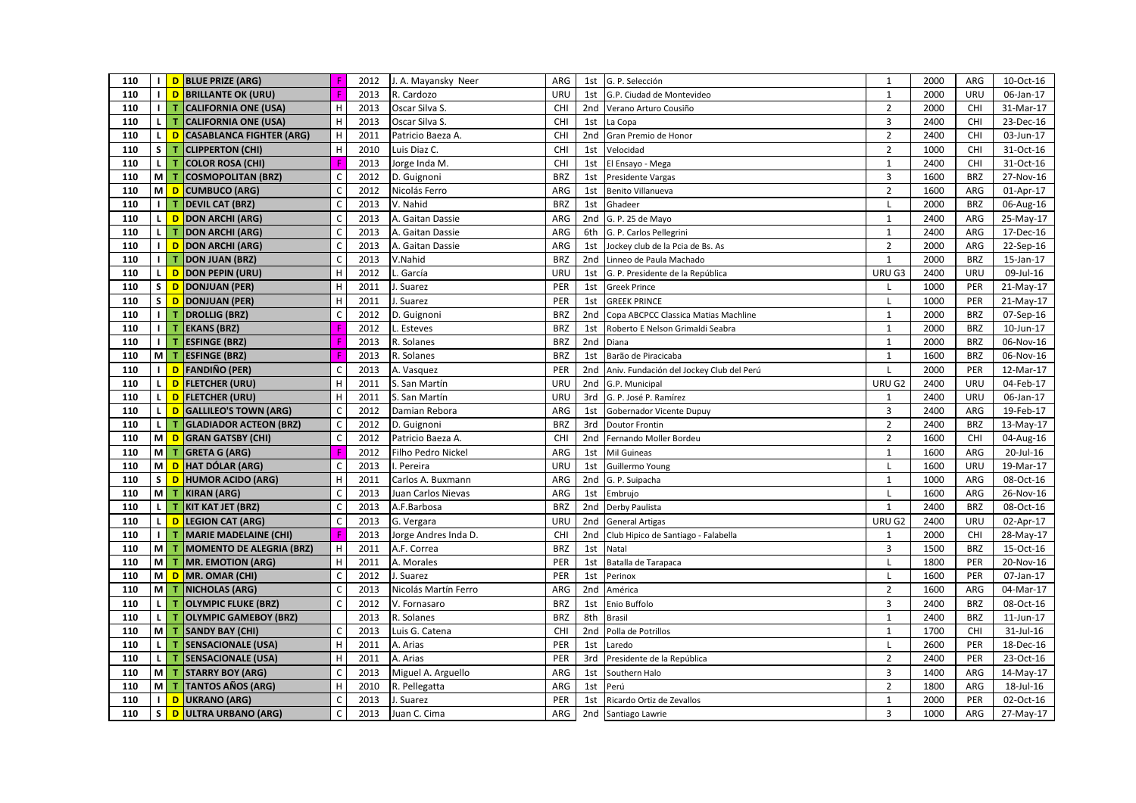| 110 |                |                 | I D BLUE PRIZE (ARG)            | Æ                         | 2012 | J. A. Mayansky Neer  | ARG        |                 | 1st G. P. Selección                      | $\mathbf{1}$            | 2000 | ARG        | 10-Oct-16               |
|-----|----------------|-----------------|---------------------------------|---------------------------|------|----------------------|------------|-----------------|------------------------------------------|-------------------------|------|------------|-------------------------|
| 110 |                | $\mathsf{I}$ D  | <b>BRILLANTE OK (URU)</b>       | F                         | 2013 | R. Cardozo           | URU        | 1st             | G.P. Ciudad de Montevideo                | $\mathbf{1}$            | 2000 | URU        | 06-Jan-17               |
| 110 |                |                 | <b>T CALIFORNIA ONE (USA)</b>   | H                         | 2013 | Oscar Silva S.       | CHI        |                 | 2nd Verano Arturo Cousiño                | $\overline{2}$          | 2000 | CHI        | 31-Mar-17               |
| 110 | <b>LI</b>      | T.              | <b>CALIFORNIA ONE (USA)</b>     | H                         | 2013 | Oscar Silva S.       | CHI        | 1st             | La Copa                                  | $\overline{3}$          | 2400 | CHI        | 23-Dec-16               |
| 110 | ιI             | $\overline{D}$  | <b>CASABLANCA FIGHTER (ARG)</b> | H                         | 2011 | Patricio Baeza A.    | CHI        | 2nd             | Gran Premio de Honor                     | $\overline{2}$          | 2400 | CHI        | 03-Jun-17               |
| 110 | $\mathsf{s}$   | т               | <b>CLIPPERTON (CHI)</b>         | $\mathsf H$               | 2010 | Luis Diaz C.         | CHI        | 1st             | Velocidad                                | $\overline{2}$          | 1000 | CHI        | 31-Oct-16               |
| 110 | <b>LI</b>      | т               | <b>COLOR ROSA (CHI)</b>         | F                         | 2013 | Jorge Inda M.        | CHI        | 1st             | El Ensayo - Mega                         | $\mathbf{1}$            | 2400 | CHI        | 31-Oct-16               |
| 110 | мI             | T.              | <b>COSMOPOLITAN (BRZ)</b>       | $\mathsf{C}$              | 2012 | D. Guignoni          | <b>BRZ</b> | 1st             | Presidente Vargas                        | 3                       | 1600 | <b>BRZ</b> | 27-Nov-16               |
| 110 |                | MD <sub>D</sub> | <b>CUMBUCO (ARG)</b>            | $\mathsf{C}$              | 2012 | Nicolás Ferro        | ARG        | 1st             | Benito Villanueva                        | $\overline{2}$          | 1600 | ARG        | 01-Apr-17               |
| 110 | $\blacksquare$ | т               | <b>DEVIL CAT (BRZ)</b>          | $\mathsf{C}$              | 2013 | V. Nahid             | <b>BRZ</b> | 1st             | Ghadeer                                  | L                       | 2000 | <b>BRZ</b> | 06-Aug-16               |
| 110 | L I            | D               | <b>DON ARCHI (ARG)</b>          | $\mathsf C$               | 2013 | A. Gaitan Dassie     | ARG        |                 | 2nd G. P. 25 de Mayo                     | $\mathbf{1}$            | 2400 | ARG        | 25-May-17               |
| 110 |                | т               | <b>DON ARCHI (ARG)</b>          | $\mathsf C$               | 2013 | A. Gaitan Dassie     | ARG        | 6th             | G. P. Carlos Pellegrini                  | $\mathbf{1}$            | 2400 | ARG        | 17-Dec-16               |
| 110 | $\blacksquare$ | $\overline{D}$  | <b>DON ARCHI (ARG)</b>          | $\mathsf C$               | 2013 | A. Gaitan Dassie     | ARG        | 1st             | Jockey club de la Pcia de Bs. As         | $\overline{2}$          | 2000 | ARG        | 22-Sep-16               |
| 110 | тI             | $\mathbf{T}$    | <b>DON JUAN (BRZ)</b>           | $\mathsf{C}$              | 2013 | V.Nahid              | <b>BRZ</b> | 2 <sub>nd</sub> | Linneo de Paula Machado                  | $\mathbf{1}$            | 2000 | <b>BRZ</b> | 15-Jan-17               |
| 110 | <b>L</b>       | D               | <b>DON PEPIN (URU)</b>          | H                         | 2012 | L. García            | URU        | 1st             | G. P. Presidente de la República         | URU G3                  | 2400 | URU        | 09-Jul-16               |
| 110 |                | $S$ D           | <b>DONJUAN (PER)</b>            | $\mathsf H$               | 2011 | J. Suarez            | PER        | 1st             | <b>Greek Prince</b>                      |                         | 1000 | PER        | 21-May-17               |
| 110 |                | S D             | <b>DONJUAN (PER)</b>            | H                         | 2011 | J. Suarez            | PER        | 1st             | <b>GREEK PRINCE</b>                      | L                       | 1000 | PER        | 21-May-17               |
| 110 | $\blacksquare$ | т               | <b>DROLLIG (BRZ)</b>            | $\mathsf C$               | 2012 | D. Guignoni          | <b>BRZ</b> |                 | 2nd Copa ABCPCC Classica Matias Machline | $\mathbf{1}$            | 2000 | <b>BRZ</b> | 07-Sep-16               |
| 110 | тI             | $\mathbf{T}$    | <b>EKANS (BRZ)</b>              | F                         | 2012 | L. Esteves           | <b>BRZ</b> | 1st             | Roberto E Nelson Grimaldi Seabra         | $\mathbf{1}$            | 2000 | <b>BRZ</b> | $10$ -Jun-17            |
| 110 | $\blacksquare$ | T.              | <b>ESFINGE (BRZ)</b>            |                           | 2013 | R. Solanes           | <b>BRZ</b> | 2nd             | Diana                                    | $\mathbf{1}$            | 2000 | <b>BRZ</b> | 06-Nov-16               |
| 110 |                | $M$ T           | <b>ESFINGE (BRZ)</b>            |                           | 2013 | R. Solanes           | <b>BRZ</b> | 1st             | Barão de Piracicaba                      | $\mathbf{1}$            | 1600 | <b>BRZ</b> | 06-Nov-16               |
| 110 | $\blacksquare$ | D               | <b>FANDIÑO (PER)</b>            | $\mathsf{C}$              | 2013 | A. Vasquez           | PER        | 2 <sub>nd</sub> | Aniv. Fundación del Jockey Club del Perú | L                       | 2000 | PER        | 12-Mar-17               |
| 110 | L              | D               | <b>FLETCHER (URU)</b>           | $\mathsf H$               | 2011 | S. San Martín        | URU        | 2nd             | G.P. Municipal                           | URU G2                  | 2400 | URU        | 04-Feb-17               |
| 110 |                | L D             | <b>FLETCHER (URU)</b>           | H                         | 2011 | S. San Martín        | <b>URU</b> | 3rd             | G. P. José P. Ramírez                    | $\mathbf{1}$            | 2400 | URU        | 06-Jan-17               |
| 110 |                | L D             | <b>GALLILEO'S TOWN (ARG)</b>    | $\mathsf C$               | 2012 | Damian Rebora        | ARG        | 1st             | Gobernador Vicente Dupuy                 | $\overline{\mathbf{3}}$ | 2400 | ARG        | 19-Feb-17               |
| 110 |                | LI TI           | <b>GLADIADOR ACTEON (BRZ)</b>   | $\mathsf{C}$              | 2012 | D. Guignoni          | <b>BRZ</b> | 3rd             | Doutor Frontin                           | $\overline{2}$          | 2400 | <b>BRZ</b> | 13-May-17               |
| 110 |                | M D             | <b>GRAN GATSBY (CHI)</b>        | $\mathsf C$               | 2012 | Patricio Baeza A.    | CHI        | 2nd             | Fernando Moller Bordeu                   | $\overline{2}$          | 1600 | <b>CHI</b> | 04-Aug-16               |
| 110 |                | $M$ T           | <b>GRETA G (ARG)</b>            | F                         | 2012 | Filho Pedro Nickel   | ARG        | 1st             | Mil Guineas                              | $\mathbf{1}$            | 1600 | ARG        | 20-Jul-16               |
| 110 |                | M D             | <b>HAT DÓLAR (ARG)</b>          | $\mathsf{C}$              | 2013 | I. Pereira           | URU        | 1st             | Guillermo Young                          |                         | 1600 | URU        | 19-Mar-17               |
| 110 |                | $S$ D           | <b>HUMOR ACIDO (ARG)</b>        | $\mathsf H$               | 2011 | Carlos A. Buxmann    | ARG        |                 | 2nd G. P. Suipacha                       | $\mathbf{1}$            | 1000 | ARG        | 08-Oct-16               |
| 110 |                | $M$ T           | <b>KIRAN (ARG)</b>              | $\mathsf{C}$              | 2013 | Juan Carlos Nievas   | ARG        | 1st             | Embrujo                                  |                         | 1600 | ARG        | 26-Nov-16               |
| 110 | $\mathsf{L}$   | T               | <b>KIT KAT JET (BRZ)</b>        | $\mathsf C$               | 2013 | A.F.Barbosa          | <b>BRZ</b> | 2nd             | Derby Paulista                           | $\mathbf{1}$            | 2400 | <b>BRZ</b> | 08-Oct-16               |
| 110 | <b>L</b>       | D               | <b>LEGION CAT (ARG)</b>         | $\mathsf C$               | 2013 | G. Vergara           | <b>URU</b> | 2 <sub>nd</sub> | <b>General Artigas</b>                   | URU G2                  | 2400 | URU        | 02-Apr-17               |
| 110 | $\perp$        | т               | <b>MARIE MADELAINE (CHI)</b>    |                           | 2013 | Jorge Andres Inda D. | CHI        | 2nd             | Club Hipico de Santiago - Falabella      | $\mathbf{1}$            | 2000 | CHI        | $\overline{28}$ -May-17 |
| 110 | мI             | т               | <b>MOMENTO DE ALEGRIA (BRZ)</b> | $\mathsf H$               | 2011 | A.F. Correa          | <b>BRZ</b> | 1st             | Natal                                    | $\overline{3}$          | 1500 | <b>BRZ</b> | 15-Oct-16               |
| 110 | мI             | T.              | <b>MR. EMOTION (ARG)</b>        | $\boldsymbol{\mathsf{H}}$ | 2011 | A. Morales           | PER        | 1st             | Batalla de Tarapaca                      | L                       | 1800 | PER        | 20-Nov-16               |
| 110 |                | MD <sub>D</sub> | MR. OMAR (CHI)                  | $\mathsf C$               | 2012 | J. Suarez            | PER        | 1st             | Perinox                                  | $\mathbf{I}$            | 1600 | PER        | 07-Jan-17               |
| 110 |                | $M$ T           | <b>NICHOLAS (ARG)</b>           | $\mathsf{C}$              | 2013 | Nicolás Martín Ferro | ARG        | 2nd             | América                                  | $\overline{2}$          | 1600 | ARG        | 04-Mar-17               |
| 110 | $\mathbf{L}$   | т               | <b>OLYMPIC FLUKE (BRZ)</b>      | $\mathsf{C}$              | 2012 | V. Fornasaro         | <b>BRZ</b> | 1st             | Enio Buffolo                             | $\overline{3}$          | 2400 | <b>BRZ</b> | 08-Oct-16               |
| 110 | τI             | т               | <b>OLYMPIC GAMEBOY (BRZ)</b>    |                           | 2013 | R. Solanes           | <b>BRZ</b> | 8th             | <b>Brasil</b>                            | $\mathbf{1}$            | 2400 | <b>BRZ</b> | 11-Jun-17               |
| 110 |                | $M$ T           | <b>SANDY BAY (CHI)</b>          | $\mathsf C$               | 2013 | Luis G. Catena       | CHI        | 2nd             | Polla de Potrillos                       | $\mathbf{1}$            | 1700 | CHI        | 31-Jul-16               |
| 110 | $\mathsf{L}$   | т               | <b>SENSACIONALE (USA)</b>       | $\mathsf H$               | 2011 | A. Arias             | PER        | 1st             | Laredo                                   |                         | 2600 | PER        | 18-Dec-16               |
| 110 | $\mathsf{L}$   | $\mathbf{T}$    | <b>SENSACIONALE (USA)</b>       | H                         | 2011 | A. Arias             | PER        | 3rd             | Presidente de la República               | $\overline{2}$          | 2400 | PER        | 23-Oct-16               |
| 110 | мI             | T.              | <b>STARRY BOY (ARG)</b>         | $\mathsf{C}$              | 2013 | Miguel A. Arguello   | ARG        | 1st             | Southern Halo                            | $\overline{3}$          | 1400 | ARG        | 14-May-17               |
| 110 | мI             | $\mathbf{T}$    | <b>TANTOS AÑOS (ARG)</b>        | H                         | 2010 | R. Pellegatta        | ARG        | 1st             | Perú                                     | $\overline{2}$          | 1800 | ARG        | 18-Jul-16               |
| 110 | $\blacksquare$ | D               | <b>UKRANO (ARG)</b>             | $\mathsf C$               | 2013 | J. Suarez            | PER        | 1st             | Ricardo Ortiz de Zevallos                | $\mathbf{1}$            | 2000 | PER        | 02-Oct-16               |
| 110 |                | $S$ D           | <b>ULTRA URBANO (ARG)</b>       | $\mathsf C$               | 2013 | Juan C. Cima         | ARG        |                 | 2nd Santiago Lawrie                      | $\overline{3}$          | 1000 | ARG        | 27-May-17               |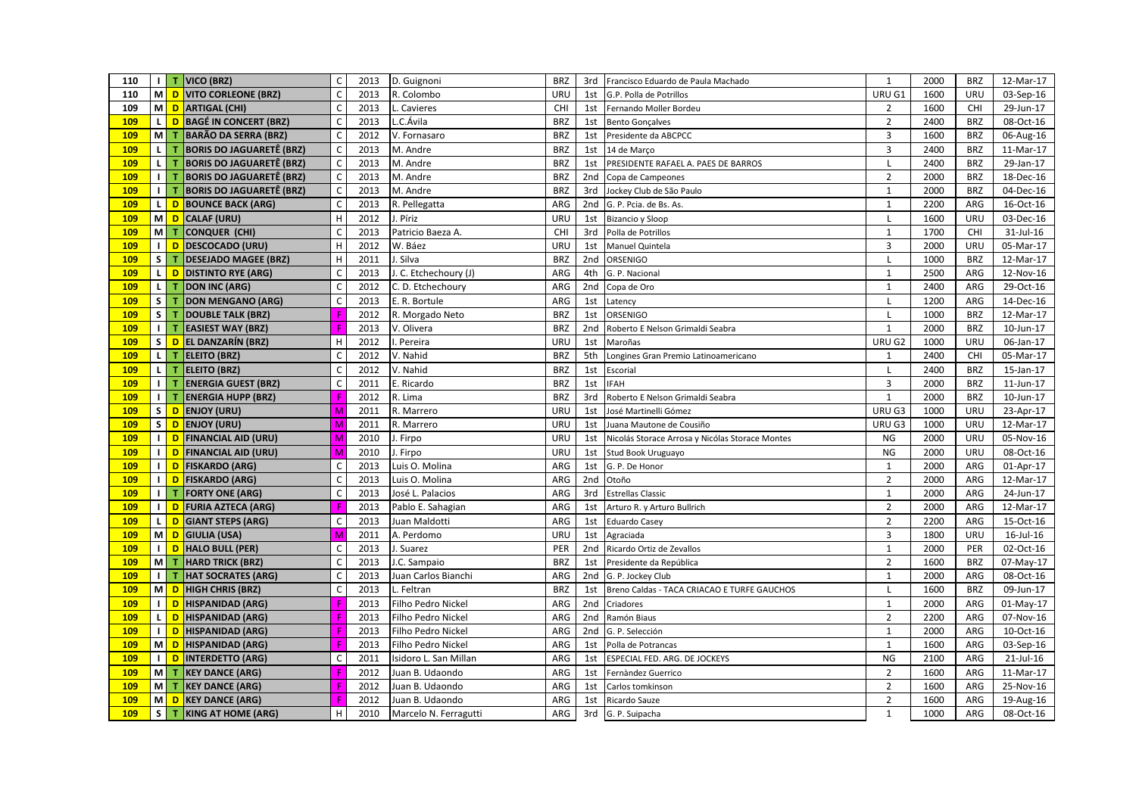| 110        |                   |                 | I   T   VICO (BRZ)                | $\mathsf C$               | 2013 | D. Guignoni           | <b>BRZ</b> |                 | 3rd Francisco Eduardo de Paula Machado          | $\mathbf{1}$            | 2000 | <b>BRZ</b> | 12-Mar-17 |
|------------|-------------------|-----------------|-----------------------------------|---------------------------|------|-----------------------|------------|-----------------|-------------------------------------------------|-------------------------|------|------------|-----------|
| 110        |                   | M D             | <b>VITO CORLEONE (BRZ)</b>        | $\mathsf{C}$              | 2013 | R. Colombo            | URU        | 1st             | G.P. Polla de Potrillos                         | URU G1                  | 1600 | URU        | 03-Sep-16 |
| 109        |                   | MD <sub>D</sub> | <b>ARTIGAL (CHI)</b>              | $\mathsf{C}$              | 2013 | L. Cavieres           | CHI        |                 | 1st Fernando Moller Bordeu                      | $\overline{2}$          | 1600 | <b>CHI</b> | 29-Jun-17 |
| 109        |                   | L D             | <b>BAGÉ IN CONCERT (BRZ)</b>      | $\mathsf C$               | 2013 | L.C.Ávila             | <b>BRZ</b> | 1st             | <b>Bento Gonçalves</b>                          | $\overline{2}$          | 2400 | <b>BRZ</b> | 08-Oct-16 |
| 109        | мI                | т               | <b>BARÃO DA SERRA (BRZ)</b>       | $\mathsf C$               | 2012 | V. Fornasaro          | <b>BRZ</b> | 1st             | Presidente da ABCPCC                            | $\overline{3}$          | 1600 | <b>BRZ</b> | 06-Aug-16 |
| 109        | L I               |                 | <b>BORIS DO JAGUARETÊ (BRZ)</b>   | $\mathsf C$               | 2013 | M. Andre              | <b>BRZ</b> |                 | 1st 14 de Março                                 | $\overline{\mathbf{3}}$ | 2400 | <b>BRZ</b> | 11-Mar-17 |
| 109        | -L I              | т               | <b>BORIS DO JAGUARETÊ (BRZ)</b>   | $\mathsf{C}$              | 2013 | M. Andre              | <b>BRZ</b> | 1st             | PRESIDENTE RAFAEL A. PAES DE BARROS             | L                       | 2400 | <b>BRZ</b> | 29-Jan-17 |
| 109        | $\blacksquare$    | T.              | <b>BORIS DO JAGUARETÊ (BRZ)</b>   | $\mathsf C$               | 2013 | M. Andre              | <b>BRZ</b> | 2nd             | Copa de Campeones                               | $\overline{2}$          | 2000 | <b>BRZ</b> | 18-Dec-16 |
| 109        | $\blacksquare$    | т               | <b>BORIS DO JAGUARETÊ (BRZ)</b>   | $\mathsf C$               | 2013 | M. Andre              | <b>BRZ</b> | 3rd             | Jockey Club de São Paulo                        | $\mathbf{1}$            | 2000 | <b>BRZ</b> | 04-Dec-16 |
| 109        |                   | L D             | <b>BOUNCE BACK (ARG)</b>          | $\mathsf C$               | 2013 | R. Pellegatta         | ARG        | 2 <sub>nd</sub> | G. P. Pcia. de Bs. As.                          | $\mathbf{1}$            | 2200 | ARG        | 16-Oct-16 |
| 109        |                   | $M$ D           | <b>CALAF (URU)</b>                | $\boldsymbol{\mathsf{H}}$ | 2012 | J. Píriz              | URU        | 1st             | Bizancio y Sloop                                |                         | 1600 | URU        | 03-Dec-16 |
| 109        |                   | $M$ T           | <b>CONQUER (CHI)</b>              | $\mathsf C$               | 2013 | Patricio Baeza A.     | CHI        | 3rd             | Polla de Potrillos                              | $\overline{1}$          | 1700 | CHI        | 31-Jul-16 |
| 109        |                   |                 | I D DESCOCADO (URU)               | H                         | 2012 | W. Báez               | URU        | 1st             | Manuel Quintela                                 | $\overline{3}$          | 2000 | URU        | 05-Mar-17 |
| 109        |                   | $S$ $T$         | <b>DESEJADO MAGEE (BRZ)</b>       | H                         | 2011 | J. Silva              | <b>BRZ</b> | 2 <sub>nd</sub> | ORSENIGO                                        | $\mathsf{L}$            | 1000 | <b>BRZ</b> | 12-Mar-17 |
| 109        |                   | L D             | <b>DISTINTO RYE (ARG)</b>         | $\mathsf C$               | 2013 | J. C. Etchechoury (J) | ARG        | 4th             | G. P. Nacional                                  | $\mathbf{1}$            | 2500 | ARG        | 12-Nov-16 |
| 109        | $\mathsf{L}$      | T               | <b>DON INC (ARG)</b>              | $\mathsf{C}$              | 2012 | C. D. Etchechoury     | ARG        | 2nd             | Copa de Oro                                     | $\mathbf{1}$            | 2400 | ARG        | 29-Oct-16 |
| 109        | s l               | т               | <b>DON MENGANO (ARG)</b>          | $\mathsf C$               | 2013 | E. R. Bortule         | ARG        | 1st             | Latency                                         | L                       | 1200 | ARG        | 14-Dec-16 |
| 109        | $\vert$ s $\vert$ | т               | <b>DOUBLE TALK (BRZ)</b>          | F                         | 2012 | R. Morgado Neto       | <b>BRZ</b> | 1st             | <b>ORSENIGO</b>                                 | I.                      | 1000 | <b>BRZ</b> | 12-Mar-17 |
| 109        |                   |                 | <b>I</b>   T   EASIEST WAY (BRZ)  | F                         | 2013 | V. Olivera            | <b>BRZ</b> | 2nd             | Roberto E Nelson Grimaldi Seabra                | $\mathbf{1}$            | 2000 | <b>BRZ</b> | 10-Jun-17 |
| <b>109</b> |                   |                 | S D EL DANZARÍN (BRZ)             | H                         | 2012 | . Pereira             | URU        | 1st             | Maroñas                                         | URU G2                  | 1000 | URU        | 06-Jan-17 |
| 109        |                   |                 | L   T ELEITO (BRZ)                | $\mathsf C$               | 2012 | V. Nahid              | <b>BRZ</b> | 5th             | Longines Gran Premio Latinoamericano            | 1                       | 2400 | <b>CHI</b> | 05-Mar-17 |
| 109        | <b>L</b>          |                 | T ELEITO (BRZ)                    | $\mathsf C$               | 2012 | V. Nahid              | <b>BRZ</b> | 1st             | Escorial                                        | L                       | 2400 | <b>BRZ</b> | 15-Jan-17 |
| 109        | $\blacksquare$    | т               | <b>ENERGIA GUEST (BRZ)</b>        | $\mathsf C$               | 2011 | E. Ricardo            | <b>BRZ</b> | 1st             | <b>IFAH</b>                                     | $\overline{3}$          | 2000 | <b>BRZ</b> | 11-Jun-17 |
| 109        | $\perp$           | т               | <b>ENERGIA HUPP (BRZ)</b>         | F                         | 2012 | R. Lima               | <b>BRZ</b> | 3rd             | Roberto E Nelson Grimaldi Seabra                | $\mathbf{1}$            | 2000 | <b>BRZ</b> | 10-Jun-17 |
| 109        |                   | S D             | <b>ENJOY (URU)</b>                | M                         | 2011 | R. Marrero            | URU        | 1st             | José Martinelli Gómez                           | URU G3                  | 1000 | URU        | 23-Apr-17 |
| 109        |                   | $S$ D           | <b>ENJOY (URU)</b>                | M                         | 2011 | R. Marrero            | URU        |                 | 1st Juana Mautone de Cousiño                    | URU G3                  | 1000 | URU        | 12-Mar-17 |
| 109        |                   | $\blacksquare$  | <b>FINANCIAL AID (URU)</b>        | M                         | 2010 | J. Firpo              | URU        | 1st             | Nicolás Storace Arrosa y Nicólas Storace Montes | <b>NG</b>               | 2000 | URU        | 05-Nov-16 |
| 109        |                   | ID              | <b>FINANCIAL AID (URU)</b>        | M                         | 2010 | J. Firpo              | URU        | 1st             | Stud Book Uruguayo                              | <b>NG</b>               | 2000 | URU        | 08-Oct-16 |
| 109        |                   | I D             | <b>FISKARDO (ARG)</b>             | $\mathsf{C}$              | 2013 | Luis O. Molina        | ARG        | 1st             | G. P. De Honor                                  | $\mathbf{1}$            | 2000 | ARG        | 01-Apr-17 |
| 109        |                   |                 | I D FISKARDO (ARG)                | $\mathsf C$               | 2013 | Luis O. Molina        | ARG        | 2nd             | Otoño                                           | $\mathbf 2$             | 2000 | ARG        | 12-Mar-17 |
| 109        |                   | $1$ T           | <b>FORTY ONE (ARG)</b>            | $\mathsf{C}$              | 2013 | José L. Palacios      | ARG        | 3rd             | <b>Estrellas Classic</b>                        | $\mathbf{1}$            | 2000 | ARG        | 24-Jun-17 |
| 109        |                   |                 | I D FURIA AZTECA (ARG)            |                           | 2013 | Pablo E. Sahagian     | ARG        | 1st             | Arturo R. y Arturo Bullrich                     | $\overline{2}$          | 2000 | ARG        | 12-Mar-17 |
| 109        |                   | L D             | <b>GIANT STEPS (ARG)</b>          | $\mathsf{C}$              | 2013 | Juan Maldotti         | ARG        | 1st             | <b>Eduardo Casey</b>                            | $\overline{2}$          | 2200 | ARG        | 15-Oct-16 |
| 109        |                   | M D             | <b>GIULIA (USA)</b>               | M                         | 2011 | A. Perdomo            | URU        | 1st             | Agraciada                                       | $\overline{3}$          | 1800 | URU        | 16-Jul-16 |
| 109        |                   | $\mathsf{I}$ D  | <b>HALO BULL (PER)</b>            | $\mathsf{C}$              | 2013 | J. Suarez             | PER        |                 | 2nd Ricardo Ortiz de Zevallos                   | $\mathbf{1}$            | 2000 | PER        | 02-Oct-16 |
| 109        |                   | M T             | <b>HARD TRICK (BRZ)</b>           | $\overline{C}$            | 2013 | J.C. Sampaio          | <b>BRZ</b> | 1st             | Presidente da República                         | $\mathbf 2$             | 1600 | <b>BRZ</b> | 07-May-17 |
| 109        | $\perp$           | T.              | <b>HAT SOCRATES (ARG)</b>         | $\mathsf C$               | 2013 | Juan Carlos Bianchi   | ARG        |                 | 2nd G. P. Jockey Club                           | $\mathbf{1}$            | 2000 | ARG        | 08-Oct-16 |
| 109        |                   | MD <sub>D</sub> | <b>HIGH CHRIS (BRZ)</b>           | $\mathsf{C}$              | 2013 | L. Feltran            | <b>BRZ</b> | 1st             | Breno Caldas - TACA CRIACAO E TURFE GAUCHOS     | $\mathbf{I}$            | 1600 | <b>BRZ</b> | 09-Jun-17 |
| 109        |                   | ID              | <b>HISPANIDAD (ARG)</b>           |                           | 2013 | Filho Pedro Nickel    | ARG        | 2nd             | Criadores                                       | $\mathbf{1}$            | 2000 | ARG        | 01-May-17 |
| 109        |                   | L D             | <b>HISPANIDAD (ARG)</b>           |                           | 2013 | Filho Pedro Nickel    | ARG        |                 | 2nd Ramón Biaus                                 | $\overline{2}$          | 2200 | ARG        | 07-Nov-16 |
| 109        |                   | $\mathsf{I}$ D  | <b>HISPANIDAD (ARG)</b>           |                           | 2013 | Filho Pedro Nickel    | ARG        | 2nd             | G. P. Selección                                 | $\mathbf{1}$            | 2000 | ARG        | 10-Oct-16 |
| 109        |                   | MD <sub>D</sub> | <b>HISPANIDAD (ARG)</b>           |                           | 2013 | Filho Pedro Nickel    | ARG        | 1st             | Polla de Potrancas                              | $\mathbf{1}$            | 1600 | ARG        | 03-Sep-16 |
| <b>109</b> |                   |                 | I <mark>D INTERDETTO (ARG)</mark> | $\mathsf{C}$              | 2011 | Isidoro L. San Millan | ARG        | 1st             | ESPECIAL FED. ARG. DE JOCKEYS                   | <b>NG</b>               | 2100 | ARG        | 21-Jul-16 |
| 109        |                   | $M$ T           | <b>KEY DANCE (ARG)</b>            |                           | 2012 | Juan B. Udaondo       | ARG        | 1st             | Fernàndez Guerrico                              | $\overline{2}$          | 1600 | ARG        | 11-Mar-17 |
| 109        |                   | $M$ T           | <b>KEY DANCE (ARG)</b>            |                           | 2012 | Juan B. Udaondo       | ARG        | 1st             | Carlos tomkinson                                | $\overline{2}$          | 1600 | ARG        | 25-Nov-16 |
| 109        |                   | M D             | <b>KEY DANCE (ARG)</b>            |                           | 2012 | Juan B. Udaondo       | ARG        | 1st             | Ricardo Sauze                                   | $\overline{2}$          | 1600 | ARG        | 19-Aug-16 |
| 109        | s l               | т               | <b>KING AT HOME (ARG)</b>         | H                         | 2010 | Marcelo N. Ferragutti | ARG        |                 | 3rd G. P. Suipacha                              | $\mathbf{1}$            | 1000 | ARG        | 08-Oct-16 |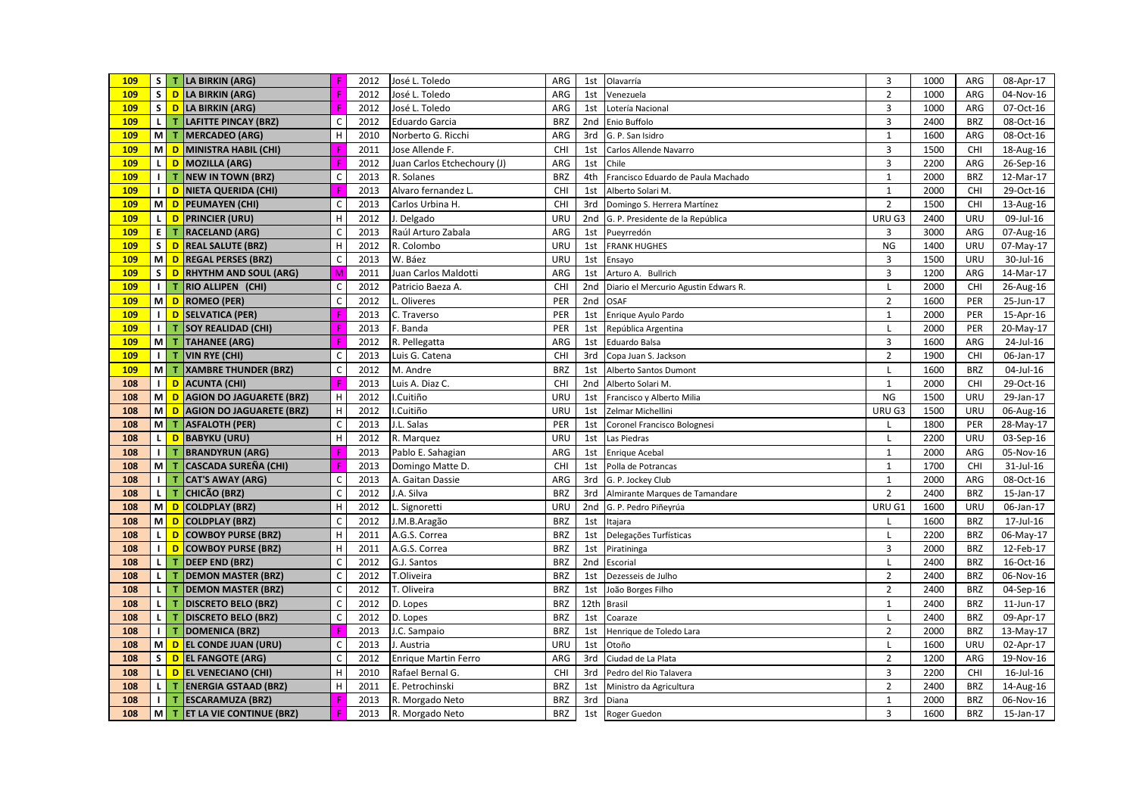| 109 |                |                 | S   T LA BIRKIN (ARG)                | F                         | 2012 | José L. Toledo              | ARG        | 1st             | Olavarría                            | 3              | 1000 | ARG        | 08-Apr-17   |
|-----|----------------|-----------------|--------------------------------------|---------------------------|------|-----------------------------|------------|-----------------|--------------------------------------|----------------|------|------------|-------------|
| 109 |                |                 | S D LA BIRKIN (ARG)                  |                           | 2012 | José L. Toledo              | ARG        | 1st             | Venezuela                            | $\overline{2}$ | 1000 | ARG        | 04-Nov-16   |
| 109 |                |                 | S <mark>D LA BIRKIN (ARG)</mark>     |                           | 2012 | José L. Toledo              | ARG        | 1st             | Lotería Nacional                     | 3              | 1000 | ARG        | 07-Oct-16   |
| 109 |                |                 | L   T LAFITTE PINCAY (BRZ)           | C                         | 2012 | <b>Eduardo Garcia</b>       | <b>BRZ</b> | 2nd             | Enio Buffolo                         | 3              | 2400 | <b>BRZ</b> | 08-Oct-16   |
| 109 |                | M T             | <b>MERCADEO (ARG)</b>                | H                         | 2010 | Norberto G. Ricchi          | ARG        | 3rd             | G. P. San Isidro                     | $\mathbf{1}$   | 1600 | ARG        | 08-Oct-16   |
| 109 |                | M D             | MINISTRA HABIL (CHI)                 |                           | 2011 | Jose Allende F.             | CHI        | 1st             | Carlos Allende Navarro               | $\overline{3}$ | 1500 | CHI        | 18-Aug-16   |
| 109 |                |                 | L D MOZILLA (ARG)                    | F                         | 2012 | Juan Carlos Etchechoury (J) | ARG        | 1st             | Chile                                | $\overline{3}$ | 2200 | ARG        | 26-Sep-16   |
| 109 | $\blacksquare$ |                 | T NEW IN TOWN (BRZ)                  | $\mathsf{C}$              | 2013 | R. Solanes                  | <b>BRZ</b> | 4th             | Francisco Eduardo de Paula Machado   | $\mathbf{1}$   | 2000 | <b>BRZ</b> | 12-Mar-17   |
| 109 |                | $\mathsf{I}$ D  | NIETA QUERIDA (CHI)                  |                           | 2013 | Alvaro fernandez L.         | CHI        | 1st             | Alberto Solari M.                    | $\mathbf{1}$   | 2000 | <b>CHI</b> | 29-Oct-16   |
| 109 |                | M D             | <b>PEUMAYEN (CHI)</b>                | $\mathsf C$               | 2013 | Carlos Urbina H.            | CHI        | 3rd             | Domingo S. Herrera Martínez          | $\overline{2}$ | 1500 | <b>CHI</b> | 13-Aug-16   |
| 109 |                | L D             | <b>PRINCIER (URU)</b>                | Н                         | 2012 | J. Delgado                  | URU        | 2 <sub>nd</sub> | G. P. Presidente de la República     | URU G3         | 2400 | URU        | 09-Jul-16   |
| 109 |                | E T             | <b>RACELAND (ARG)</b>                | $\mathsf C$               | 2013 | Raúl Arturo Zabala          | ARG        | 1st             | Pueyrredón                           | 3              | 3000 | ARG        | 07-Aug-16   |
| 109 |                | S D             | <b>REAL SALUTE (BRZ)</b>             | H                         | 2012 | R. Colombo                  | URU        | 1st             | <b>FRANK HUGHES</b>                  | <b>NG</b>      | 1400 | URU        | 07-May-17   |
| 109 |                | M D             | <b>REGAL PERSES (BRZ)</b>            | $\mathsf{C}$              | 2013 | W. Báez                     | URU        | 1st             | Ensayo                               | $\overline{3}$ | 1500 | URU        | 30-Jul-16   |
| 109 |                | $S$ D           | <b>RHYTHM AND SOUL (ARG)</b>         | M                         | 2011 | Juan Carlos Maldotti        | ARG        | 1st             | Arturo A. Bullrich                   | 3              | 1200 | ARG        | 14-Mar-17   |
| 109 |                | $\mathbf{I}$ T  | RIO ALLIPEN (CHI)                    | $\mathsf C$               | 2012 | Patricio Baeza A.           | CHI        | 2nd             | Diario el Mercurio Agustin Edwars R. |                | 2000 | <b>CHI</b> | 26-Aug-16   |
| 109 |                | M D             | <b>ROMEO (PER)</b>                   | $\mathsf{C}$              | 2012 | Oliveres                    | PER        | 2nd             | <b>OSAF</b>                          | $\overline{2}$ | 1600 | PER        | 25-Jun-17   |
| 109 |                | $\mathsf{I}$ D  | <b>SELVATICA (PER)</b>               | F                         | 2013 | C. Traverso                 | PER        | 1st             | Enrique Ayulo Pardo                  | $\mathbf{1}$   | 2000 | PER        | 15-Apr-16   |
| 109 |                | $1$ T           | <b>SOY REALIDAD (CHI)</b>            | F                         | 2013 | F. Banda                    | PER        | 1st             | República Argentina                  | $\mathsf{L}$   | 2000 | PER        | 20-May-17   |
| 109 |                |                 | M T TAHANEE (ARG)                    |                           | 2012 | R. Pellegatta               | ARG        | 1st             | Eduardo Balsa                        | $\overline{3}$ | 1600 | ARG        | 24-Jul-16   |
| 109 |                |                 | I T VIN RYE (CHI)                    | $\mathsf{C}$              | 2013 | Luis G. Catena              | CHI        | 3rd             | Copa Juan S. Jackson                 | $\overline{2}$ | 1900 | <b>CHI</b> | 06-Jan-17   |
| 109 | мI             | $\mathbf{T}$    | <b>XAMBRE THUNDER (BRZ)</b>          | $\mathsf C$               | 2012 | M. Andre                    | <b>BRZ</b> | 1st             | Alberto Santos Dumont                | L              | 1600 | <b>BRZ</b> | 04-Jul-16   |
| 108 |                | $\mathsf{I}$ D  | <b>ACUNTA (CHI)</b>                  | F                         | 2013 | Luis A. Diaz C.             | CHI        | 2 <sub>nd</sub> | Alberto Solari M.                    | $\mathbf{1}$   | 2000 | <b>CHI</b> | 29-Oct-16   |
| 108 |                | MD <sub>D</sub> | <b>AGION DO JAGUARETE (BRZ)</b>      | $\mathsf H$               | 2012 | I.Cuitiño                   | URU        | 1st             | Francisco y Alberto Milia            | <b>NG</b>      | 1500 | URU        | 29-Jan-17   |
| 108 |                | <b>MD</b>       | <b>AGION DO JAGUARETE (BRZ)</b>      | $\boldsymbol{\mathsf{H}}$ | 2012 | .Cuitiño                    | URU        | 1st             | Zelmar Michellini                    | URU G3         | 1500 | URU        | 06-Aug-16   |
| 108 |                |                 | M T ASFALOTH (PER)                   | $\mathsf C$               | 2013 | J.L. Salas                  | PER        | 1st             | Coronel Francisco Bolognesi          |                | 1800 | PER        | 28-May-17   |
| 108 | <b>L</b>       | $\overline{D}$  | <b>BABYKU (URU)</b>                  | $\mathsf H$               | 2012 | R. Marquez                  | URU        | 1st             | Las Piedras                          | L              | 2200 | URU        | 03-Sep-16   |
| 108 | $\perp$        | т               | <b>BRANDYRUN (ARG)</b>               | F                         | 2013 | Pablo E. Sahagian           | ARG        | 1st             | <b>Enrique Acebal</b>                | $\mathbf{1}$   | 2000 | ARG        | 05-Nov-16   |
| 108 | мI             | т               | <b>CASCADA SUREÑA (CHI)</b>          |                           | 2013 | Domingo Matte D.            | CHI        | 1st             | Polla de Potrancas                   | $\mathbf{1}$   | 1700 | <b>CHI</b> | 31-Jul-16   |
| 108 | $\blacksquare$ | т               | <b>CAT'S AWAY (ARG)</b>              | C                         | 2013 | A. Gaitan Dassie            | ARG        | 3rd             | G. P. Jockey Club                    | $\mathbf{1}$   | 2000 | ARG        | 08-Oct-16   |
| 108 | <b>L</b>       | $\mathbf T$     | CHICÃO (BRZ)                         | $\mathsf{C}$              | 2012 | J.A. Silva                  | <b>BRZ</b> | 3rd             | Almirante Marques de Tamandare       | $\overline{2}$ | 2400 | <b>BRZ</b> | 15-Jan-17   |
| 108 |                | MD              | <b>COLDPLAY (BRZ)</b>                | $\mathsf H$               | 2012 | L. Signoretti               | URU        | 2nd             | G. P. Pedro Piñeyrúa                 | URU G1         | 1600 | URU        | 06-Jan-17   |
| 108 |                | $M$ D           | <b>COLDPLAY (BRZ)</b>                | $\mathsf C$               | 2012 | J.M.B.Aragão                | <b>BRZ</b> | 1st             | Itajara                              |                | 1600 | <b>BRZ</b> | 17-Jul-16   |
| 108 | L I            | D               | <b>COWBOY PURSE (BRZ)</b>            | H                         | 2011 | A.G.S. Correa               | <b>BRZ</b> | 1st             | Delegações Turfísticas               |                | 2200 | <b>BRZ</b> | 06-May-17   |
| 108 | $\mathbf{L}$   | D               | <b>COWBOY PURSE (BRZ)</b>            | н                         | 2011 | A.G.S. Correa               | <b>BRZ</b> | 1st             | Piratininga                          | 3              | 2000 | <b>BRZ</b> | 12-Feb-17   |
| 108 | <b>L</b>       | т               | <b>DEEP END (BRZ)</b>                | $\mathsf C$               | 2012 | G.J. Santos                 | <b>BRZ</b> | 2nd             | Escorial                             | L              | 2400 | <b>BRZ</b> | 16-Oct-16   |
| 108 | $\mathsf{L}$   | T.              | <b>DEMON MASTER (BRZ)</b>            | $\mathsf{C}$              | 2012 | T.Oliveira                  | <b>BRZ</b> | 1st             | Dezesseis de Julho                   | $\overline{2}$ | 2400 | <b>BRZ</b> | 06-Nov-16   |
| 108 | <b>L</b>       | T.              | <b>DEMON MASTER (BRZ)</b>            | $\mathsf{C}$              | 2012 | T. Oliveira                 | <b>BRZ</b> | 1st             | João Borges Filho                    | $\overline{2}$ | 2400 | <b>BRZ</b> | 04-Sep-16   |
| 108 | L I            | T.              | <b>DISCRETO BELO (BRZ)</b>           | $\mathsf C$               | 2012 | D. Lopes                    | <b>BRZ</b> | 12th            | Brasil                               | $\mathbf{1}$   | 2400 | <b>BRZ</b> | 11-Jun-17   |
| 108 | <b>L</b>       | $\mathbf T$     | <b>DISCRETO BELO (BRZ)</b>           | $\mathsf C$               | 2012 | D. Lopes                    | <b>BRZ</b> | 1st             | Coaraze                              |                | 2400 | <b>BRZ</b> | 09-Apr-17   |
| 108 | $\blacksquare$ | т               | <b>DOMENICA (BRZ)</b>                |                           | 2013 | J.C. Sampaio                | <b>BRZ</b> | 1st             | Henrique de Toledo Lara              | $\overline{2}$ | 2000 | <b>BRZ</b> | 13-May-17   |
| 108 |                | M D             | <b>EL CONDE JUAN (URU)</b>           | $\mathsf C$               | 2013 | J. Austria                  | URU        | 1st             | Otoño                                |                | 1600 | URU        | 02-Apr-17   |
| 108 |                |                 | S D EL FANGOTE (ARG)                 | $\mathsf{C}$              | 2012 | <b>Enrique Martin Ferro</b> | ARG        | 3rd             | Ciudad de La Plata                   | $\overline{2}$ | 1200 | ARG        | $19-Nov-16$ |
| 108 | τI             | $\overline{D}$  | <b>EL VENECIANO (CHI)</b>            | H                         | 2010 | Rafael Bernal G.            | CHI        | 3rd             | Pedro del Rio Talavera               | $\overline{3}$ | 2200 | <b>CHI</b> | 16-Jul-16   |
| 108 | τI             | $\mathbf T$     | <b>ENERGIA GSTAAD (BRZ)</b>          | H                         | 2011 | E. Petrochinski             | <b>BRZ</b> | 1st             | Ministro da Agricultura              | $\overline{2}$ | 2400 | <b>BRZ</b> | 14-Aug-16   |
| 108 | $\perp$        | $\mathbf T$     | <b>ESCARAMUZA (BRZ)</b>              | F                         | 2013 | R. Morgado Neto             | <b>BRZ</b> | 3rd             | Diana                                | $\mathbf{1}$   | 2000 | <b>BRZ</b> | 06-Nov-16   |
| 108 | <b>M</b>       |                 | <b>T</b> $ET LA VIE CONTINUE (B RZ)$ | F                         | 2013 | R. Morgado Neto             | <b>BRZ</b> | 1st             | Roger Guedon                         | 3              | 1600 | <b>BRZ</b> | 15-Jan-17   |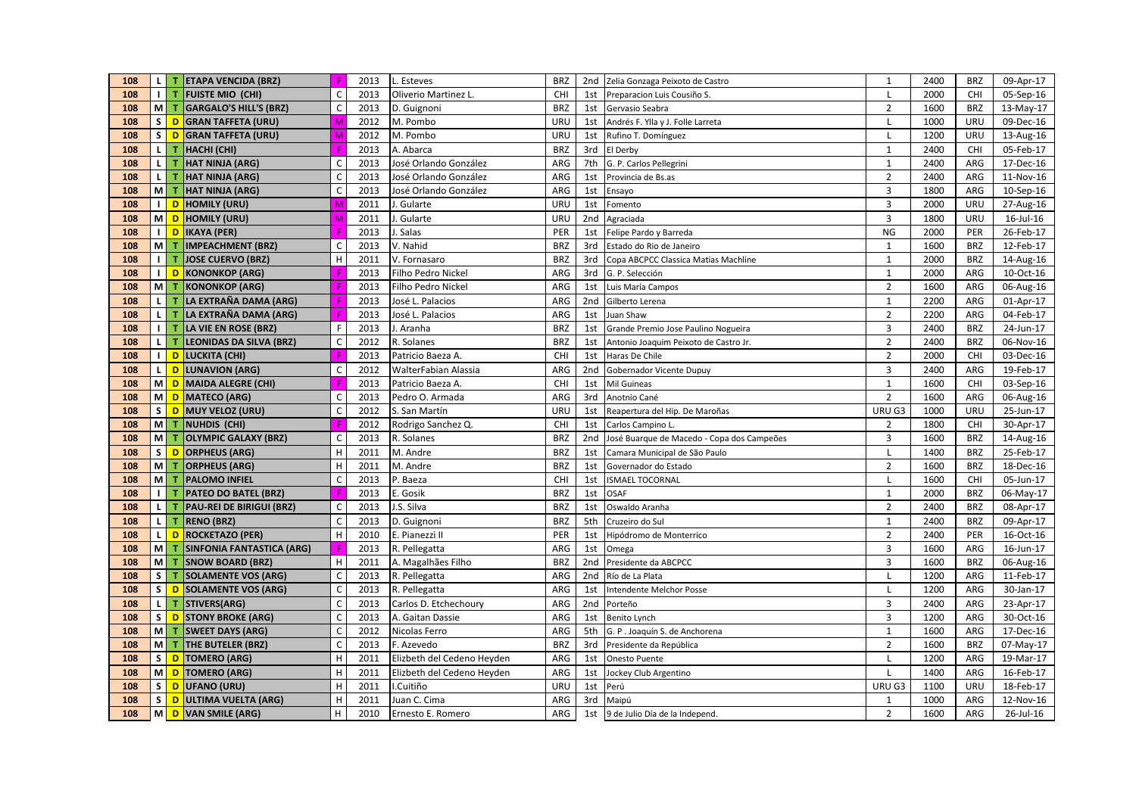| 108 | $\mathsf{L}$   | т   | <b>ETAPA VENCIDA (BRZ)</b>       | Æ                         | 2013 | L. Esteves                 | <b>BRZ</b> |     | 2nd Zelia Gonzaga Peixoto de Castro        | $\mathbf{1}$   | 2400 | <b>BRZ</b> | 09-Apr-17 |
|-----|----------------|-----|----------------------------------|---------------------------|------|----------------------------|------------|-----|--------------------------------------------|----------------|------|------------|-----------|
| 108 | Ш              | т   | <b>FUISTE MIO (CHI)</b>          | $\mathsf C$               | 2013 | Oliverio Martinez L.       | CHI        | 1st | Preparacion Luis Cousiño S.                | $\mathsf{L}$   | 2000 | CHI        | 05-Sep-16 |
| 108 |                | M T | GARGALO'S HILL'S (BRZ)           | $\mathsf C$               | 2013 | D. Guignoni                | <b>BRZ</b> |     | 1st Gervasio Seabra                        | $\overline{2}$ | 1600 | <b>BRZ</b> | 13-May-17 |
| 108 | s l            |     | D GRAN TAFFETA (URU)             | M                         | 2012 | M. Pombo                   | URU        | 1st | Andrés F. Ylla y J. Folle Larreta          | L              | 1000 | URU        | 09-Dec-16 |
| 108 | s.             |     | D GRAN TAFFETA (URU)             | M                         | 2012 | M. Pombo                   | URU        | 1st | Rufino T. Domínguez                        | $\mathsf{L}$   | 1200 | URU        | 13-Aug-16 |
| 108 | τI             | т   | HACHI (CHI)                      |                           | 2013 | A. Abarca                  | <b>BRZ</b> |     | 3rd El Derby                               | $\mathbf{1}$   | 2400 | <b>CHI</b> | 05-Feb-17 |
| 108 | $\mathbf{L}$   | т   | <b>HAT NINJA (ARG)</b>           | $\mathsf C$               | 2013 | José Orlando González      | ARG        | 7th | G. P. Carlos Pellegrini                    | $\mathbf{1}$   | 2400 | ARG        | 17-Dec-16 |
| 108 | $\mathsf{L}$   | т   | HAT NINJA (ARG)                  | $\mathsf{C}$              | 2013 | José Orlando González      | ARG        | 1st | Provincia de Bs.as                         | $\overline{2}$ | 2400 | ARG        | 11-Nov-16 |
| 108 | мI             | т   | <b>HAT NINJA (ARG)</b>           | $\mathsf{C}$              | 2013 | José Orlando González      | ARG        | 1st | Ensayo                                     | 3              | 1800 | ARG        | 10-Sep-16 |
| 108 | $\blacksquare$ |     | D HOMILY (URU)                   | M                         | 2011 | J. Gularte                 | URU        | 1st | Fomento                                    | 3              | 2000 | URU        | 27-Aug-16 |
| 108 | мI             | D   | HOMILY (URU)                     | M                         | 2011 | J. Gularte                 | URU        |     | 2nd Agraciada                              | $\overline{3}$ | 1800 | URU        | 16-Jul-16 |
| 108 | $\blacksquare$ | D   | IKAYA (PER)                      |                           | 2013 | . Salas                    | PER        | 1st | Felipe Pardo y Barreda                     | NG             | 2000 | PER        | 26-Feb-17 |
| 108 | <b>M</b>       | т   | <b>IMPEACHMENT (BRZ)</b>         | $\mathsf C$               | 2013 | V. Nahid                   | <b>BRZ</b> | 3rd | Estado do Rio de Janeiro                   | $\mathbf{1}$   | 1600 | <b>BRZ</b> | 12-Feb-17 |
| 108 | $\perp$        | T   | <b>JOSE CUERVO (BRZ)</b>         | H                         | 2011 | V. Fornasaro               | <b>BRZ</b> | 3rd | Copa ABCPCC Classica Matias Machline       | $\mathbf{1}$   | 2000 | <b>BRZ</b> | 14-Aug-16 |
| 108 | $\blacksquare$ | D   | KONONKOP (ARG)                   |                           | 2013 | Filho Pedro Nickel         | ARG        | 3rd | G. P. Selección                            | $\mathbf{1}$   | 2000 | ARG        | 10-Oct-16 |
| 108 | <b>M</b>       | т   | <b>KONONKOP (ARG)</b>            |                           | 2013 | Filho Pedro Nickel         | ARG        | 1st | Luis María Campos                          | $\overline{2}$ | 1600 | ARG        | 06-Aug-16 |
| 108 | $\mathbf{L}$   | т   | LA EXTRAÑA DAMA (ARG)            | F                         | 2013 | José L. Palacios           | ARG        | 2nd | Gilberto Lerena                            | $\mathbf{1}$   | 2200 | ARG        | 01-Apr-17 |
| 108 | $\mathbf{L}$   |     | LA EXTRAÑA DAMA (ARG)            |                           | 2013 | José L. Palacios           | ARG        | 1st | Juan Shaw                                  | $\overline{2}$ | 2200 | ARG        | 04-Feb-17 |
| 108 | $\blacksquare$ | т   | LA VIE EN ROSE (BRZ)             | F.                        | 2013 | J. Aranha                  | <b>BRZ</b> | 1st | Grande Premio Jose Paulino Nogueira        | $\overline{3}$ | 2400 | <b>BRZ</b> | 24-Jun-17 |
| 108 | τI             | т   | <b>LEONIDAS DA SILVA (BRZ)</b>   | $\mathsf C$               | 2012 | R. Solanes                 | <b>BRZ</b> | 1st | Antonio Joaquim Peixoto de Castro Jr.      | $\overline{2}$ | 2400 | <b>BRZ</b> | 06-Nov-16 |
| 108 | $\perp$        |     | D LUCKITA (CHI)                  |                           | 2013 | Patricio Baeza A.          | CHI        | 1st | Haras De Chile                             | $\mathbf 2$    | 2000 | <b>CHI</b> | 03-Dec-16 |
| 108 | $\mathbf{L}$   |     | D LUNAVION (ARG)                 | $\mathsf{C}$              | 2012 | WalterFabian Alassia       | ARG        | 2nd | Gobernador Vicente Dupuy                   | 3              | 2400 | ARG        | 19-Feb-17 |
| 108 | мI             |     | D MAIDA ALEGRE (CHI)             | F                         | 2013 | Patricio Baeza A.          | CHI        | 1st | Mil Guineas                                | $\mathbf{1}$   | 1600 | <b>CHI</b> | 03-Sep-16 |
| 108 | мI             |     | D   MATECO (ARG)                 | $\mathsf C$               | 2013 | Pedro O. Armada            | ARG        | 3rd | Anotnio Cané                               | $\overline{2}$ | 1600 | ARG        | 06-Aug-16 |
| 108 | s l            |     | D MUY VELOZ (URU)                | $\mathsf C$               | 2012 | S. San Martín              | URU        | 1st | Reapertura del Hip. De Maroñas             | URU G3         | 1000 | URU        | 25-Jun-17 |
| 108 | M              | т   | NUHDIS (CHI)                     |                           | 2012 | Rodrigo Sanchez Q.         | CHI        | 1st | Carlos Campino L.                          | $\overline{2}$ | 1800 | <b>CHI</b> | 30-Apr-17 |
| 108 | мI             | т   | <b>OLYMPIC GALAXY (BRZ)</b>      | $\mathsf C$               | 2013 | R. Solanes                 | <b>BRZ</b> | 2nd | José Buarque de Macedo - Copa dos Campeões | $\overline{3}$ | 1600 | BRZ        | 14-Aug-16 |
| 108 | S              | D   | <b>ORPHEUS (ARG)</b>             | H                         | 2011 | M. Andre                   | <b>BRZ</b> | 1st | Camara Municipal de São Paulo              | $\mathbf{I}$   | 1400 | <b>BRZ</b> | 25-Feb-17 |
| 108 | мI             | т   | <b>ORPHEUS (ARG)</b>             | H                         | 2011 | M. Andre                   | <b>BRZ</b> | 1st | Governador do Estado                       | $\overline{2}$ | 1600 | <b>BRZ</b> | 18-Dec-16 |
| 108 | M              |     | <b>PALOMO INFIEL</b>             | $\mathsf C$               | 2013 | P. Baeza                   | <b>CHI</b> | 1st | <b>ISMAEL TOCORNAL</b>                     | L              | 1600 | CHI        | 05-Jun-17 |
| 108 | $\blacksquare$ | т   | <b>PATEO DO BATEL (BRZ)</b>      | F                         | 2013 | E. Gosik                   | <b>BRZ</b> | 1st | <b>OSAF</b>                                | $\mathbf{1}$   | 2000 | <b>BRZ</b> | 06-May-17 |
| 108 | $\mathbf{L}$   | т   | <b>PAU-REI DE BIRIGUI (BRZ)</b>  | $\mathsf{C}$              | 2013 | J.S. Silva                 | <b>BRZ</b> | 1st | Oswaldo Aranha                             | $\overline{2}$ | 2400 | <b>BRZ</b> | 08-Apr-17 |
| 108 | $\mathsf{L}$   | T.  | <b>RENO (BRZ)</b>                | $\mathsf C$               | 2013 | D. Guignoni                | <b>BRZ</b> | 5th | Cruzeiro do Sul                            | $\mathbf{1}$   | 2400 | <b>BRZ</b> | 09-Apr-17 |
| 108 | $\mathbf{L}$   | D   | <b>ROCKETAZO (PER)</b>           | H                         | 2010 | E. Pianezzi II             | PER        | 1st | Hipódromo de Monterrico                    | $\overline{2}$ | 2400 | PER        | 16-Oct-16 |
| 108 | мI             | т   | <b>SINFONIA FANTASTICA (ARG)</b> |                           | 2013 | R. Pellegatta              | ARG        | 1st | Omega                                      | $\overline{3}$ | 1600 | ARG        | 16-Jun-17 |
| 108 | <b>M</b>       | т   | <b>SNOW BOARD (BRZ)</b>          | $\mathsf H$               | 2011 | A. Magalhães Filho         | <b>BRZ</b> | 2nd | Presidente da ABCPCC                       | $\overline{3}$ | 1600 | <b>BRZ</b> | 06-Aug-16 |
| 108 | -S I           | т   | <b>SOLAMENTE VOS (ARG)</b>       | $\mathsf C$               | 2013 | R. Pellegatta              | ARG        |     | 2nd Río de La Plata                        | L              | 1200 | ARG        | 11-Feb-17 |
| 108 | s l            |     | D SOLAMENTE VOS (ARG)            | $\mathsf C$               | 2013 | R. Pellegatta              | ARG        | 1st | Intendente Melchor Posse                   | $\mathbf{I}$   | 1200 | ARG        | 30-Jan-17 |
| 108 | -L I           | T.  | STIVERS(ARG)                     | $\mathsf C$               | 2013 | Carlos D. Etchechoury      | ARG        | 2nd | Porteño                                    | 3              | 2400 | ARG        | 23-Apr-17 |
| 108 | s l            |     | <b>D</b> STONY BROKE (ARG)       | $\mathsf C$               | 2013 | A. Gaitan Dassie           | ARG        | 1st | Benito Lynch                               | $\overline{3}$ | 1200 | ARG        | 30-Oct-16 |
| 108 | мI             | т   | <b>SWEET DAYS (ARG)</b>          | $\mathsf{C}$              | 2012 | Nicolas Ferro              | ARG        | 5th | G. P. Joaquín S. de Anchorena              | $\mathbf{1}$   | 1600 | ARG        | 17-Dec-16 |
| 108 | мI             | т   | THE BUTELER (BRZ)                | $\mathsf C$               | 2013 | F. Azevedo                 | <b>BRZ</b> | 3rd | Presidente da República                    | $\overline{2}$ | 1600 | <b>BRZ</b> | 07-May-17 |
| 108 | s l            |     | D TOMERO (ARG)                   | H                         | 2011 | Elizbeth del Cedeno Heyden | ARG        | 1st | Onesto Puente                              | L              | 1200 | ARG        | 19-Mar-17 |
| 108 | мI             |     | D TOMERO (ARG)                   | $\boldsymbol{\mathsf{H}}$ | 2011 | Elizbeth del Cedeno Heyden | ARG        | 1st | Jockey Club Argentino                      |                | 1400 | ARG        | 16-Feb-17 |
| 108 | s l            |     | D UFANO (URU)                    | H                         | 2011 | I.Cuitiño                  | URU        | 1st | Perú                                       | URU G3         | 1100 | URU        | 18-Feb-17 |
| 108 | s l            |     | D ULTIMA VUELTA (ARG)            | H                         | 2011 | Juan C. Cima               | ARG        | 3rd | Maipú                                      | $\mathbf{1}$   | 1000 | ARG        | 12-Nov-16 |
| 108 |                |     | MON VAN SMILE (ARG)              | H                         | 2010 | Ernesto E. Romero          | ARG        |     | 1st 9 de Julio Día de la Independ.         | $\overline{2}$ | 1600 | ARG        | 26-Jul-16 |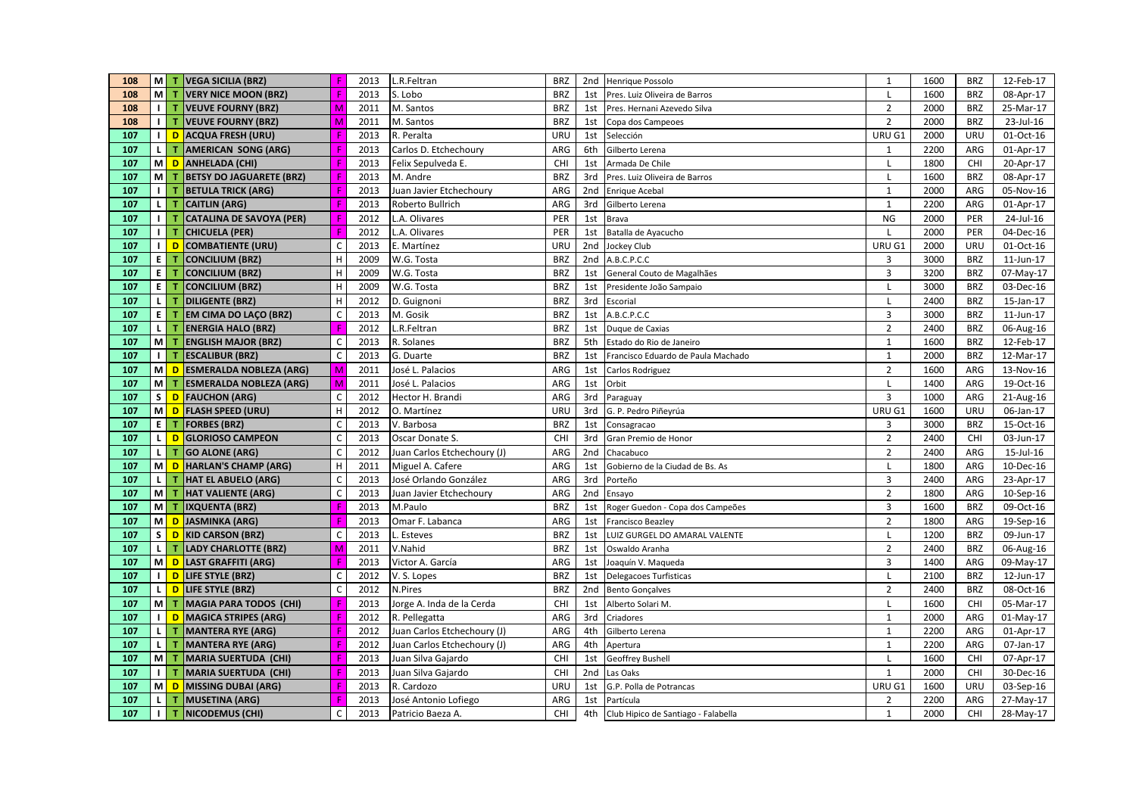| 108 |              |                | M   T   VEGA SICILIA (BRZ)      | F            | 2013 | L.R.Feltran                 | <b>BRZ</b> |                 | 2nd Henrique Possolo                | $\mathbf{1}$            | 1600 | BRZ        | 12-Feb-17    |
|-----|--------------|----------------|---------------------------------|--------------|------|-----------------------------|------------|-----------------|-------------------------------------|-------------------------|------|------------|--------------|
| 108 |              | M T            | <b>VERY NICE MOON (BRZ)</b>     | F            | 2013 | S. Lobo                     | <b>BRZ</b> | 1st             | Pres. Luiz Oliveira de Barros       |                         | 1600 | <b>BRZ</b> | 08-Apr-17    |
| 108 |              | $1$ T          | <b>VEUVE FOURNY (BRZ)</b>       | M            | 2011 | M. Santos                   | <b>BRZ</b> | 1st             | Pres. Hernani Azevedo Silva         | $\overline{2}$          | 2000 | <b>BRZ</b> | 25-Mar-17    |
| 108 |              | 11T            | <b>VEUVE FOURNY (BRZ)</b>       | M            | 2011 | M. Santos                   | <b>BRZ</b> | 1st             | Copa dos Campeoes                   | $\overline{2}$          | 2000 | <b>BRZ</b> | 23-Jul-16    |
| 107 | $\mathbf{L}$ | D              | <b>ACQUA FRESH (URU)</b>        | F            | 2013 | R. Peralta                  | <b>URU</b> | 1st             | Selección                           | URU G1                  | 2000 | URU        | 01-Oct-16    |
| 107 |              | L I T          | <b>AMERICAN SONG (ARG)</b>      |              | 2013 | Carlos D. Etchechoury       | ARG        | 6th             | Gilberto Lerena                     | 1                       | 2200 | ARG        | 01-Apr-17    |
| 107 |              | M D            | <b>ANHELADA (CHI)</b>           | F            | 2013 | Felix Sepulveda E.          | CHI        | 1st             | Armada De Chile                     | L                       | 1800 | CHI        | 20-Apr-17    |
| 107 |              | M T            | <b>BETSY DO JAGUARETE (BRZ)</b> | F            | 2013 | M. Andre                    | <b>BRZ</b> | 3rd             | Pres. Luiz Oliveira de Barros       |                         | 1600 | <b>BRZ</b> | 08-Apr-17    |
| 107 |              | $1$ T          | <b>BETULA TRICK (ARG)</b>       | F            | 2013 | Juan Javier Etchechoury     | ARG        | 2nd             | <b>Enrique Acebal</b>               | $\mathbf{1}$            | 2000 | ARG        | 05-Nov-16    |
| 107 |              | LI T           | <b>CAITLIN (ARG)</b>            | F            | 2013 | Roberto Bullrich            | ARG        | 3rd             | Gilberto Lerena                     | $\mathbf{1}$            | 2200 | ARG        | 01-Apr-17    |
| 107 |              | $\blacksquare$ | <b>CATALINA DE SAVOYA (PER)</b> | F            | 2012 | L.A. Olivares               | PER        | 1st             | Brava                               | NG                      | 2000 | PER        | 24-Jul-16    |
| 107 |              | $1$ T          | <b>CHICUELA (PER)</b>           | F            | 2012 | L.A. Olivares               | PER        | 1st             | Batalla de Ayacucho                 |                         | 2000 | PER        | 04-Dec-16    |
| 107 | $\perp$      | D              | <b>COMBATIENTE (URU)</b>        | $\mathsf{C}$ | 2013 | E. Martínez                 | URU        | 2nd             | Jockey Club                         | URU G1                  | 2000 | URU        | 01-Oct-16    |
| 107 |              | ET             | <b>CONCILIUM (BRZ)</b>          | H            | 2009 | W.G. Tosta                  | <b>BRZ</b> | 2nd             | A.B.C.P.C.C                         | 3                       | 3000 | <b>BRZ</b> | 11-Jun-17    |
| 107 |              | E T            | <b>CONCILIUM (BRZ)</b>          | $\mathsf H$  | 2009 | W.G. Tosta                  | <b>BRZ</b> | 1st             | General Couto de Magalhães          | $\overline{3}$          | 3200 | <b>BRZ</b> | 07-May-17    |
| 107 |              | E T            | <b>CONCILIUM (BRZ)</b>          | H            | 2009 | W.G. Tosta                  | <b>BRZ</b> | 1st             | Presidente João Sampaio             |                         | 3000 | <b>BRZ</b> | 03-Dec-16    |
| 107 | <b>L</b>     |                | <b>DILIGENTE (BRZ)</b>          | н            | 2012 | D. Guignoni                 | <b>BRZ</b> | 3rd             | Escorial                            |                         | 2400 | <b>BRZ</b> | 15-Jan-17    |
| 107 |              | E T            | <b>EM CIMA DO LAÇO (BRZ)</b>    | $\mathsf C$  | 2013 | M. Gosik                    | <b>BRZ</b> | 1st             | A.B.C.P.C.C                         | $\overline{\mathbf{3}}$ | 3000 | <b>BRZ</b> | $11$ -Jun-17 |
| 107 |              | LI T           | <b>ENERGIA HALO (BRZ)</b>       | F            | 2012 | L.R.Feltran                 | <b>BRZ</b> | 1st             | Duque de Caxias                     | $\overline{2}$          | 2400 | <b>BRZ</b> | 06-Aug-16    |
| 107 |              | MI T           | <b>ENGLISH MAJOR (BRZ)</b>      | $\mathsf{C}$ | 2013 | R. Solanes                  | <b>BRZ</b> | 5th             | Estado do Rio de Janeiro            | $\mathbf{1}$            | 1600 | <b>BRZ</b> | 12-Feb-17    |
| 107 |              | 11T            | <b>ESCALIBUR (BRZ)</b>          | $\mathsf C$  | 2013 | G. Duarte                   | <b>BRZ</b> | 1st             | Francisco Eduardo de Paula Machado  | $\mathbf{1}$            | 2000 | <b>BRZ</b> | 12-Mar-17    |
| 107 |              | M D            | <b>ESMERALDA NOBLEZA (ARG)</b>  | M            | 2011 | José L. Palacios            | ARG        | 1st             | Carlos Rodriguez                    | $\overline{2}$          | 1600 | ARG        | 13-Nov-16    |
| 107 |              | M T            | <b>ESMERALDA NOBLEZA (ARG)</b>  | M            | 2011 | José L. Palacios            | ARG        | 1st             | Orbit                               |                         | 1400 | ARG        | 19-Oct-16    |
| 107 |              | $S$ D          | <b>FAUCHON (ARG)</b>            | $\mathsf C$  | 2012 | Hector H. Brandi            | ARG        | 3rd             | Paraguay                            | $\overline{3}$          | 1000 | ARG        | 21-Aug-16    |
| 107 |              | M D            | <b>FLASH SPEED (URU)</b>        | H            | 2012 | O. Martínez                 | <b>URU</b> | 3rd             | G. P. Pedro Piñeyrúa                | URU G1                  | 1600 | URU        | 06-Jan-17    |
| 107 |              | E I T          | <b>FORBES (BRZ)</b>             | $\mathsf C$  | 2013 | V. Barbosa                  | <b>BRZ</b> | 1st             | Consagracao                         | 3                       | 3000 | <b>BRZ</b> | 15-Oct-16    |
| 107 | $\mathbf{L}$ | D              | <b>GLORIOSO CAMPEON</b>         | $\mathsf{C}$ | 2013 | Oscar Donate S.             | CHI        | 3rd             | Gran Premio de Honor                | $\overline{2}$          | 2400 | CHI        | 03-Jun-17    |
| 107 |              | L I T          | <b>GO ALONE (ARG)</b>           | $\mathsf{C}$ | 2012 | Juan Carlos Etchechoury (J) | ARG        | 2nd             | Chacabuco                           | $\overline{2}$          | 2400 | ARG        | 15-Jul-16    |
| 107 |              | M D            | <b>HARLAN'S CHAMP (ARG)</b>     | H            | 2011 | Miguel A. Cafere            | ARG        | 1st             | Gobierno de la Ciudad de Bs. As     |                         | 1800 | ARG        | 10-Dec-16    |
| 107 |              | L I T          | <b>HAT EL ABUELO (ARG)</b>      | C            | 2013 | José Orlando González       | ARG        | 3rd             | Porteño                             | $\overline{3}$          | 2400 | ARG        | 23-Apr-17    |
| 107 |              | MI T           | <b>HAT VALIENTE (ARG)</b>       | $\mathsf{C}$ | 2013 | Juan Javier Etchechoury     | ARG        | 2nd             | Ensayo                              | $\overline{2}$          | 1800 | ARG        | 10-Sep-16    |
| 107 |              | MI T           | <b>IXQUENTA (BRZ)</b>           | F            | 2013 | M.Paulo                     | <b>BRZ</b> | 1st             | Roger Guedon - Copa dos Campeões    | $\overline{\mathbf{3}}$ | 1600 | <b>BRZ</b> | 09-Oct-16    |
| 107 |              |                | M D JASMINKA (ARG)              | F            | 2013 | Omar F. Labanca             | ARG        | 1st             | <b>Francisco Beazley</b>            | $\overline{2}$          | 1800 | ARG        | 19-Sep-16    |
| 107 | s l          | D              | <b>KID CARSON (BRZ)</b>         | $\mathsf C$  | 2013 | L. Esteves                  | <b>BRZ</b> | 1st             | LUIZ GURGEL DO AMARAL VALENTE       |                         | 1200 | <b>BRZ</b> | 09-Jun-17    |
| 107 |              | L I T          | <b>LADY CHARLOTTE (BRZ)</b>     | M            | 2011 | V.Nahid                     | <b>BRZ</b> | 1st             | Oswaldo Aranha                      | $\overline{2}$          | 2400 | <b>BRZ</b> | 06-Aug-16    |
| 107 |              | M D            | <b>LAST GRAFFITI (ARG)</b>      | F            | 2013 | Victor A. García            | ARG        | 1st             | Joaquín V. Maqueda                  | $\overline{3}$          | 1400 | ARG        | 09-May-17    |
| 107 |              |                | I D LIFE STYLE (BRZ)            | $\mathsf C$  | 2012 | V.S. Lopes                  | <b>BRZ</b> | 1st             | Delegacoes Turfisticas              |                         | 2100 | <b>BRZ</b> | 12-Jun-17    |
| 107 |              | L D            | LIFE STYLE (BRZ)                | $\mathsf{C}$ | 2012 | N.Pires                     | <b>BRZ</b> | 2 <sub>nd</sub> | <b>Bento Gonçalves</b>              | $\overline{2}$          | 2400 | <b>BRZ</b> | 08-Oct-16    |
| 107 |              | MI T           | MAGIA PARA TODOS (CHI)          | F            | 2013 | Jorge A. Inda de la Cerda   | CHI        | 1st             | Alberto Solari M.                   | T                       | 1600 | CHI        | 05-Mar-17    |
| 107 |              | $\blacksquare$ | MAGICA STRIPES (ARG)            | F            | 2012 | R. Pellegatta               | ARG        | 3rd             | Criadores                           | $\mathbf{1}$            | 2000 | ARG        | 01-May-17    |
| 107 |              | L I T          | <b>MANTERA RYE (ARG)</b>        |              | 2012 | Juan Carlos Etchechoury (J) | ARG        | 4th             | Gilberto Lerena                     | $\mathbf{1}$            | 2200 | ARG        | 01-Apr-17    |
| 107 |              | LI T           | <b>MANTERA RYE (ARG)</b>        | F            | 2012 | Juan Carlos Etchechoury (J) | ARG        | 4th             | Apertura                            | $\mathbf{1}$            | 2200 | ARG        | 07-Jan-17    |
| 107 |              | M T            | MARIA SUERTUDA (CHI)            | F            | 2013 | Juan Silva Gajardo          | CHI        | 1st             | <b>Geoffrey Bushell</b>             |                         | 1600 | CHI        | 07-Apr-17    |
| 107 |              | 11T            | <b>MARIA SUERTUDA (CHI)</b>     |              | 2013 | Juan Silva Gajardo          | CHI        | 2 <sub>nd</sub> | Las Oaks                            | $\mathbf{1}$            | 2000 | <b>CHI</b> | 30-Dec-16    |
| 107 |              | M D            | MISSING DUBAI (ARG)             |              | 2013 | R. Cardozo                  | URU        | 1st             | G.P. Polla de Potrancas             | URU G1                  | 1600 | URU        | 03-Sep-16    |
| 107 |              | LI T           | MUSETINA (ARG)                  |              | 2013 | José Antonio Lofiego        | ARG        | 1st             | Partícula                           | $\overline{2}$          | 2200 | ARG        | 27-May-17    |
| 107 |              | $1$   T        | NICODEMUS (CHI)                 | C            | 2013 | Patricio Baeza A.           | CHI        | 4th             | Club Hipico de Santiago - Falabella | $\mathbf{1}$            | 2000 | CHI        | 28-May-17    |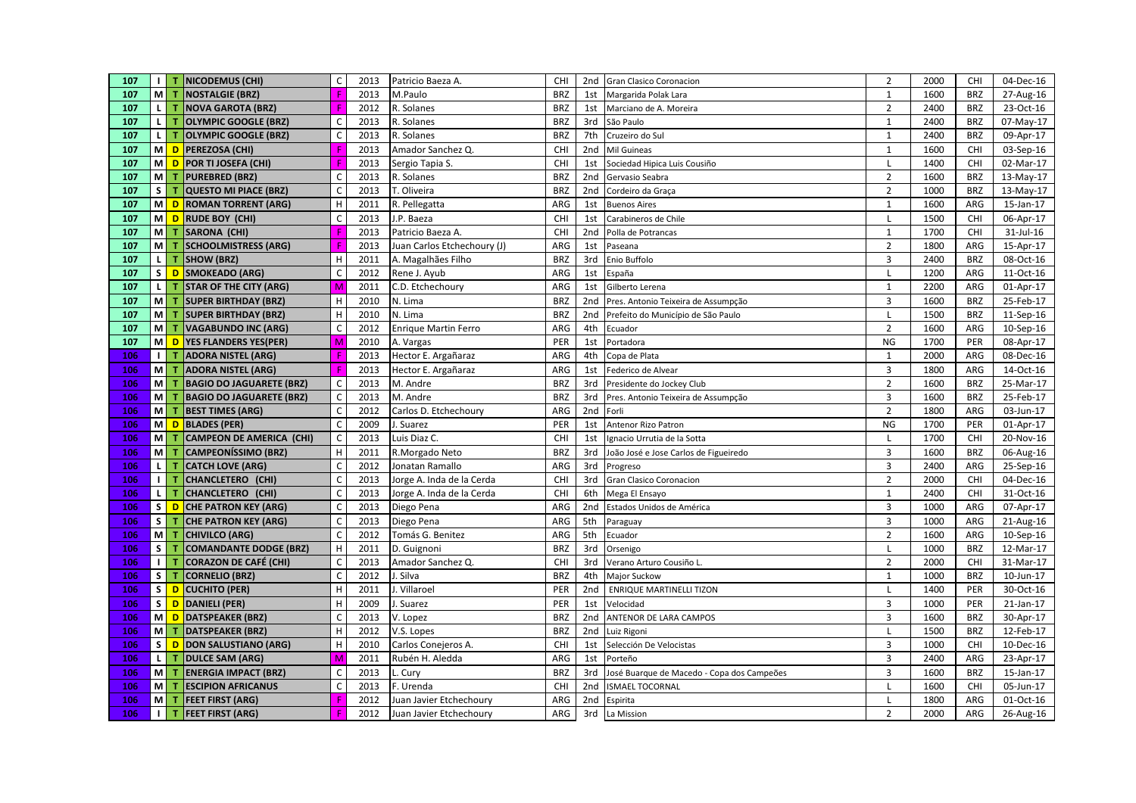| 107        | Ш                       | т           | <b>NICODEMUS (CHI)</b>                                | $\mathsf C$                | 2013         | Patricio Baeza A.             | CHI               | 2nd                    | Gran Clasico Coronacion                      | $\overline{2}$      | 2000         | <b>CHI</b>        | 04-Dec-16              |
|------------|-------------------------|-------------|-------------------------------------------------------|----------------------------|--------------|-------------------------------|-------------------|------------------------|----------------------------------------------|---------------------|--------------|-------------------|------------------------|
| 107        |                         | $M$ T       | NOSTALGIE (BRZ)                                       | F                          | 2013         | M.Paulo                       | <b>BRZ</b>        | 1st                    | Margarida Polak Lara                         | $\mathbf{1}$        | 1600         | <b>BRZ</b>        | 27-Aug-16              |
| 107        | $\mathsf{L}$            | T           | NOVA GAROTA (BRZ)                                     |                            | 2012         | R. Solanes                    | <b>BRZ</b>        | 1st                    | Marciano de A. Moreira                       | $\overline{2}$      | 2400         | <b>BRZ</b>        | 23-Oct-16              |
| 107        | <b>LI</b>               | т           | <b>OLYMPIC GOOGLE (BRZ)</b>                           | $\mathsf C$                | 2013         | R. Solanes                    | <b>BRZ</b>        | 3rd                    | São Paulo                                    | $\mathbf{1}$        | 2400         | <b>BRZ</b>        | 07-May-17              |
| 107        | $\mathbf{L}$            | т           | <b>OLYMPIC GOOGLE (BRZ)</b>                           | $\mathsf{C}$               | 2013         | R. Solanes                    | <b>BRZ</b>        | 7th                    | Cruzeiro do Sul                              | $\mathbf{1}$        | 2400         | <b>BRZ</b>        | 09-Apr-17              |
| 107        |                         |             | M D PEREZOSA (CHI)                                    |                            | 2013         | Amador Sanchez Q.             | CHI               | 2nd                    | Mil Guineas                                  | $\overline{1}$      | 1600         | CHI               | 03-Sep-16              |
| 107        |                         |             | M D POR TI JOSEFA (CHI)                               |                            | 2013         | Sergio Tapia S.               | CHI               | 1st                    | Sociedad Hipica Luis Cousiño                 |                     | 1400         | <b>CHI</b>        | 02-Mar-17              |
| 107        | <b>M</b>                | т           | <b>PUREBRED (BRZ)</b>                                 | $\mathsf{C}$               | 2013         | R. Solanes                    | <b>BRZ</b>        | 2nd                    | Gervasio Seabra                              | $\overline{2}$      | 1600         | <b>BRZ</b>        | 13-May-17              |
| 107        | s l                     | т           | <b>QUESTO MI PIACE (BRZ)</b>                          | $\mathsf{C}$               | 2013         | T. Oliveira                   | <b>BRZ</b>        | 2nd                    | Cordeiro da Graça                            | $\overline{2}$      | 1000         | <b>BRZ</b>        | 13-May-17              |
| 107        | мI                      |             | D ROMAN TORRENT (ARG)                                 | $\mathsf H$                | 2011         | R. Pellegatta                 | ARG               | 1st                    | <b>Buenos Aires</b>                          | $\mathbf{1}$        | 1600         | ARG               | 15-Jan-17              |
| 107        | мI                      | D           | <b>RUDE BOY (CHI)</b>                                 | $\mathsf{C}$               | 2013         | J.P. Baeza                    | CHI               | 1st                    | Carabineros de Chile                         | $\mathbf{I}$        | 1500         | CHI               | 06-Apr-17              |
| 107        | мI                      | $\mathbf T$ | <b>SARONA (CHI)</b>                                   |                            | 2013         | Patricio Baeza A.             | CHI               | 2nd                    | Polla de Potrancas                           | $\mathbf{1}$        | 1700         | <b>CHI</b>        | 31-Jul-16              |
| 107        | мI                      | т           | <b>SCHOOLMISTRESS (ARG)</b>                           | Æ                          | 2013         | Juan Carlos Etchechoury (J)   | ARG               | 1st                    | Paseana                                      | $\overline{2}$      | 1800         | ARG               | 15-Apr-17              |
| 107        | $\mathsf{L}$            | T           | <b>SHOW (BRZ)</b>                                     | H                          | 2011         | A. Magalhães Filho            | <b>BRZ</b>        | 3rd                    | Enio Buffolo                                 | $\overline{3}$      | 2400         | <b>BRZ</b>        | $08-Oct-16$            |
| 107        | s l                     |             | D SMOKEADO (ARG)                                      | $\mathsf C$                | 2012         | Rene J. Ayub                  | ARG               | 1st                    | España                                       |                     | 1200         | ARG               | 11-Oct-16              |
| 107        | τI                      | т           | <b>STAR OF THE CITY (ARG)</b>                         | M                          | 2011         | C.D. Etchechoury              | ARG               | 1st                    | Gilberto Lerena                              | $\mathbf{1}$        | 2200         | ARG               | 01-Apr-17              |
| 107        | мI                      | т           | <b>SUPER BIRTHDAY (BRZ)</b>                           | $\mathsf H$                | 2010         | N. Lima                       | <b>BRZ</b>        | 2 <sub>nd</sub>        | Pres. Antonio Teixeira de Assumpção          | 3                   | 1600         | <b>BRZ</b>        | 25-Feb-17              |
| 107        | мI                      | т           | <b>SUPER BIRTHDAY (BRZ)</b>                           | $\mathsf H$                | 2010         | N. Lima                       | <b>BRZ</b>        | 2nd                    | Prefeito do Município de São Paulo           |                     | 1500         | <b>BRZ</b>        | 11-Sep-16              |
| 107        | <b>M</b>                | т           | <b>VAGABUNDO INC (ARG)</b>                            | $\mathsf C$                | 2012         | <b>Enrique Martin Ferro</b>   | ARG               | 4th                    | Ecuador                                      | $\overline{2}$      | 1600         | ARG               | 10-Sep-16              |
| 107        | мI                      |             | D   YES FLANDERS YES(PER)                             | M                          | 2010         | A. Vargas                     | PER               | 1st                    | Portadora                                    | <b>NG</b>           | 1700         | PER               | 08-Apr-17              |
| 106        | $\perp$                 | т           | <b>ADORA NISTEL (ARG)</b>                             |                            | 2013         | Hector E. Argañaraz           | ARG               | 4th                    | Copa de Plata                                | $\mathbf{1}$        | 2000         | ARG               | 08-Dec-16              |
| 106        | мI                      | т           | <b>ADORA NISTEL (ARG)</b>                             | Ē                          | 2013         | Hector E. Argañaraz           | ARG               | 1st                    | Federico de Alvear                           | $\overline{3}$      | 1800         | ARG               | 14-Oct-16              |
| 106        | M                       |             | <b>BAGIO DO JAGUARETE (BRZ)</b>                       | $\mathsf{C}$               | 2013         | M. Andre                      | <b>BRZ</b>        | 3rd                    | Presidente do Jockey Club                    | $\overline{2}$      | 1600         | <b>BRZ</b>        | 25-Mar-17              |
| 106        | мI                      |             | <b>BAGIO DO JAGUARETE (BRZ)</b>                       | $\overline{C}$             | 2013         | M. Andre                      | <b>BRZ</b>        | 3rd                    | Pres. Antonio Teixeira de Assumpção          | $\overline{3}$      | 1600         | <b>BRZ</b>        | 25-Feb-17              |
| 106        | <b>M</b>                | т           | <b>BEST TIMES (ARG)</b>                               | $\mathsf C$                | 2012         | Carlos D. Etchechoury         | ARG               | 2nd                    | Forli                                        | $\overline{2}$      | 1800         | ARG               | 03-Jun-17              |
| 106        |                         |             | M D BLADES (PER)                                      | $\mathsf C$                | 2009         | J. Suarez                     | PER               | 1st                    | Antenor Rizo Patron                          | <b>NG</b>           | 1700         | PER               | 01-Apr-17              |
| 106        | мI                      | т           | CAMPEON DE AMERICA (CHI)                              | $\mathsf C$                | 2013         | Luis Diaz C.                  | CHI               | 1st                    | Ignacio Urrutia de la Sotta                  | L                   | 1700         | <b>CHI</b>        | 20-Nov-16              |
| 106        | M                       |             | <b>CAMPEONÍSSIMO (BRZ)</b>                            | $\mathsf H$                | 2011         | R.Morgado Neto                | <b>BRZ</b>        | 3rd                    | João José e Jose Carlos de Figueiredo        | 3                   | 1600         | <b>BRZ</b>        | 06-Aug-16              |
| 106        | L                       |             | <b>CATCH LOVE (ARG)</b>                               | $\mathsf C$                | 2012         | Jonatan Ramallo               | ARG               | 3rd                    | Progreso                                     | 3                   | 2400         | ARG               | 25-Sep-16              |
| 106        | $\perp$                 | т           | CHANCLETERO (CHI)                                     | $\mathsf C$                | 2013         | Jorge A. Inda de la Cerda     | CHI               | 3rd                    | Gran Clasico Coronacion                      | $\overline{2}$      | 2000         | <b>CHI</b>        | 04-Dec-16              |
| 106        | <b>L</b>                | т           | CHANCLETERO (CHI)                                     | $\mathsf{C}$               | 2013         | Jorge A. Inda de la Cerda     | CHI               | 6th                    | Mega El Ensayo                               | $\mathbf{1}$        | 2400         | CHI               | 31-Oct-16              |
| 106        | s l                     |             | D CHE PATRON KEY (ARG)                                | $\mathsf C$                | 2013         | Diego Pena                    | ARG               | 2 <sub>nd</sub>        | Estados Unidos de América                    | 3                   | 1000         | ARG               | 07-Apr-17              |
| 106        | $\vert$ s $\vert$       | т           | <b>CHE PATRON KEY (ARG)</b>                           | $\mathsf C$                | 2013         | Diego Pena                    | ARG               | 5th                    | Paraguay                                     | $\overline{3}$      | 1000         | ARG               | 21-Aug-16              |
| 106        | M<br>$\mathsf{s}$       | т           | CHIVILCO (ARG)                                        | $\mathsf C$                | 2012         | Tomás G. Benitez              | ARG               | 5th                    | Ecuador                                      | $\overline{2}$      | 1600         | ARG               | 10-Sep-16              |
| 106        | $\blacksquare$          | т           | <b>COMANDANTE DODGE (BRZ)</b>                         | $\mathsf H$<br>$\mathsf C$ | 2011<br>2013 | D. Guignoni                   | <b>BRZ</b><br>CHI | 3rd                    | Orsenigo                                     | $\overline{2}$      | 1000<br>2000 | <b>BRZ</b><br>CHI | 12-Mar-17              |
| 106<br>106 | $\mathsf{S}$            | т           | <b>CORAZON DE CAFÉ (CHI)</b><br><b>CORNELIO (BRZ)</b> | $\mathsf C$                | 2012         | Amador Sanchez Q.<br>J. Silva | <b>BRZ</b>        | 3rd<br>4th             | Verano Arturo Cousiño L                      | $\mathbf{1}$        | 1000         | <b>BRZ</b>        | 31-Mar-17<br>10-Jun-17 |
|            | s l                     |             |                                                       | $\mathsf H$                | 2011         |                               | PER               |                        | Major Suckow                                 |                     |              |                   |                        |
| 106        | $\overline{\mathsf{s}}$ |             | D CUCHITO (PER)                                       | $\mathsf H$                | 2009         | J. Villaroel                  | PER               | 2 <sub>nd</sub>        | <b>ENRIQUE MARTINELLI TIZON</b><br>Velocidad | L<br>$\overline{3}$ | 1400<br>1000 | PER<br>PER        | 30-Oct-16              |
| 106<br>106 | M                       |             | D DANIELI (PER)<br>D DATSPEAKER (BRZ)                 | $\mathsf{C}$               | 2013         | J. Suarez                     | <b>BRZ</b>        | 1st<br>2 <sub>nd</sub> |                                              | $\overline{3}$      | 1600         | <b>BRZ</b>        | 21-Jan-17              |
| 106        | <b>M</b>                | т           | DATSPEAKER (BRZ)                                      | H                          | 2012         | V. Lopez<br>V.S. Lopes        | <b>BRZ</b>        | 2nd                    | ANTENOR DE LARA CAMPOS<br>Luiz Rigoni        | L                   | 1500         | <b>BRZ</b>        | 30-Apr-17<br>12-Feb-17 |
| 106        | s                       |             | D DON SALUSTIANO (ARG)                                | H                          | 2010         | Carlos Conejeros A.           | CHI               | 1st                    | Selección De Velocistas                      | $\overline{3}$      | 1000         | <b>CHI</b>        | 10-Dec-16              |
| 106        | $\mathbf{L}$            | т           | <b>DULCE SAM (ARG)</b>                                | M                          | 2011         | Rubén H. Aledda               | ARG               | 1st                    | Porteño                                      | $\overline{3}$      | 2400         | ARG               | 23-Apr-17              |
| 106        | мI                      | т           | <b>ENERGIA IMPACT (BRZ)</b>                           | $\mathsf C$                | 2013         | L. Cury                       | <b>BRZ</b>        | 3rd                    | José Buarque de Macedo - Copa dos Campeões   | $\overline{3}$      | 1600         | <b>BRZ</b>        | 15-Jan-17              |
| 106        | M <sub>l</sub>          | т           | <b>ESCIPION AFRICANUS</b>                             | $\mathsf{C}$               | 2013         | F. Urenda                     | CHI               | 2 <sub>nd</sub>        | <b>ISMAEL TOCORNAL</b>                       |                     | 1600         | CHI               | 05-Jun-17              |
| 106        | <b>M</b>                | т           | <b>FEET FIRST (ARG)</b>                               |                            | 2012         | Juan Javier Etchechoury       | ARG               | 2nd                    | Espirita                                     |                     | 1800         | ARG               | 01-Oct-16              |
| 106        | $\mathbf{I}$            | т           | <b>FEET FIRST (ARG)</b>                               | F                          | 2012         | Juan Javier Etchechoury       | ARG               | 3rd                    | La Mission                                   | $\overline{2}$      | 2000         | ARG               | 26-Aug-16              |
|            |                         |             |                                                       |                            |              |                               |                   |                        |                                              |                     |              |                   |                        |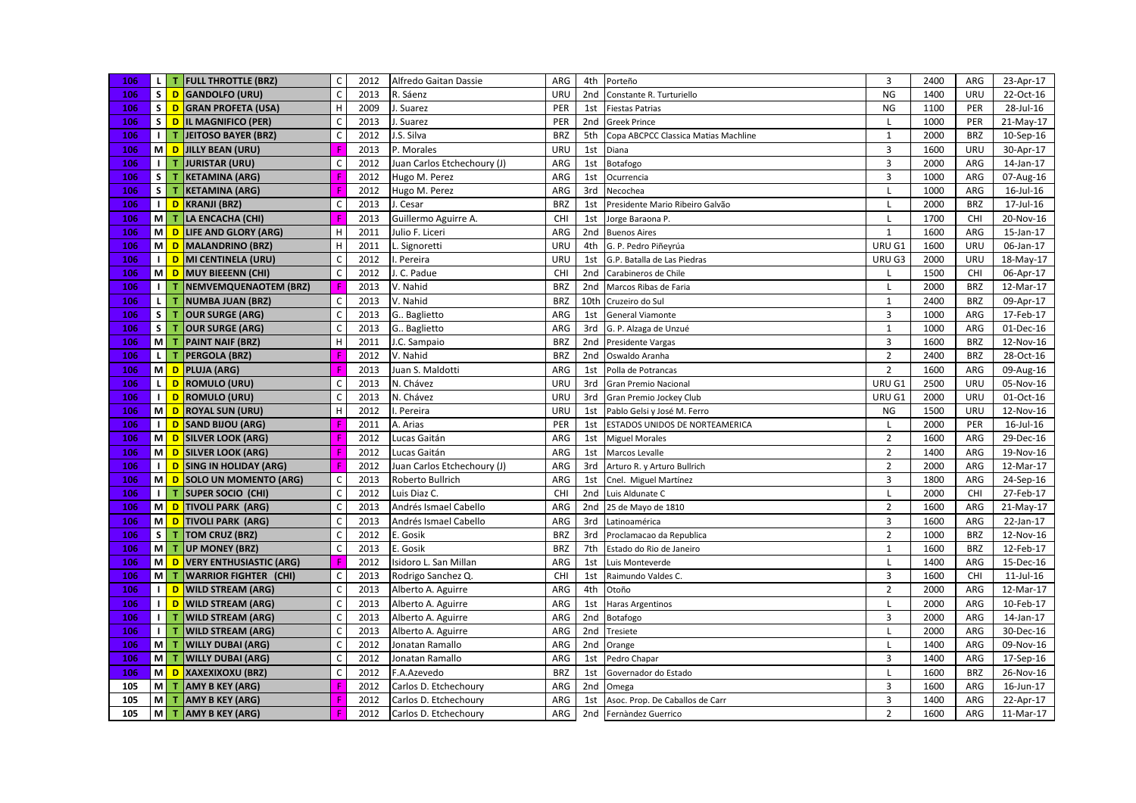| 106 |                         |                | L T FULL THROTTLE (BRZ)               | C            | 2012 | Alfredo Gaitan Dassie       | ARG        |                 | 4th Porteño                          | $\overline{3}$ | 2400 | ARG        | 23-Apr-17       |
|-----|-------------------------|----------------|---------------------------------------|--------------|------|-----------------------------|------------|-----------------|--------------------------------------|----------------|------|------------|-----------------|
| 106 |                         |                | S D GANDOLFO (URU)                    | $\mathsf{C}$ | 2013 | R. Sáenz                    | URU        | 2nd             | Constante R. Turturiello             | <b>NG</b>      | 1400 | URU        | 22-Oct-16       |
| 106 |                         |                | S D GRAN PROFETA (USA)                | $\mathsf H$  | 2009 | J. Suarez                   | PER        | 1st             | <b>Fiestas Patrias</b>               | <b>NG</b>      | 1100 | PER        | 28-Jul-16       |
| 106 |                         |                | S D IL MAGNIFICO (PER)                | $\mathsf C$  | 2013 | J. Suarez                   | PER        | 2nd             | <b>Greek Prince</b>                  | L              | 1000 | PER        | 21-May-17       |
| 106 |                         | $1$ T          | JEITOSO BAYER (BRZ)                   | $\mathsf{C}$ | 2012 | J.S. Silva                  | <b>BRZ</b> | 5th             | Copa ABCPCC Classica Matias Machline | $\mathbf{1}$   | 2000 | <b>BRZ</b> | 10-Sep-16       |
| 106 |                         |                | M D JILLY BEAN (URU)                  |              | 2013 | P. Morales                  | <b>URU</b> | 1st             | Diana                                | $\overline{3}$ | 1600 | URU        | 30-Apr-17       |
| 106 |                         | $1$ T          | <b>JURISTAR (URU)</b>                 | $\mathsf{C}$ | 2012 | Juan Carlos Etchechoury (J) | ARG        | 1st             | Botafogo                             | $\overline{3}$ | 2000 | ARG        | 14-Jan-17       |
| 106 |                         | $S$ $T$        | <b>KETAMINA (ARG)</b>                 | F            | 2012 | Hugo M. Perez               | ARG        | 1st             | Ocurrencia                           | $\overline{3}$ | 1000 | ARG        | 07-Aug-16       |
| 106 |                         | $S$ $T$        | <b>KETAMINA (ARG)</b>                 | F            | 2012 | Hugo M. Perez               | ARG        | 3rd             | Necochea                             | $\mathbf{I}$   | 1000 | ARG        | 16-Jul-16       |
| 106 |                         |                | I <mark>  D  </mark> KRANJI (BRZ)     | C            | 2013 | J. Cesar                    | <b>BRZ</b> | 1st             | Presidente Mario Ribeiro Galvão      | L              | 2000 | <b>BRZ</b> | 17-Jul-16       |
| 106 |                         | $M$ T          | LA ENCACHA (CHI)                      | F            | 2013 | Guillermo Aguirre A.        | CHI        | 1st             | Jorge Baraona P.                     | $\mathbf{I}$   | 1700 | CHI        | 20-Nov-16       |
| 106 |                         | MD             | LIFE AND GLORY (ARG)                  | н            | 2011 | Julio F. Liceri             | ARG        |                 | 2nd Buenos Aires                     | $\overline{1}$ | 1600 | ARG        | 15-Jan-17       |
| 106 |                         |                | M D MALANDRINO (BRZ)                  | н            | 2011 | L. Signoretti               | URU        |                 | 4th G. P. Pedro Piñeyrúa             | URU G1         | 1600 | URU        | 06-Jan-17       |
| 106 |                         |                | I D MI CENTINELA (URU)                | $\mathsf{C}$ | 2012 | . Pereira                   | <b>URU</b> | 1st             | G.P. Batalla de Las Piedras          | URU G3         | 2000 | URU        | 18-May-17       |
| 106 |                         |                | M D MUY BIEEENN (CHI)                 | $\mathsf{C}$ | 2012 | . C. Padue                  | CHI        | 2 <sub>nd</sub> | Carabineros de Chile                 |                | 1500 | CHI        | 06-Apr-17       |
| 106 |                         |                | <b>I</b> T NEMVEMQUENAOTEM (BRZ)      | F            | 2013 | V. Nahid                    | <b>BRZ</b> | 2nd             | Marcos Ribas de Faria                | $\mathsf{L}$   | 2000 | <b>BRZ</b> | 12-Mar-17       |
| 106 | $\mathsf{L}$            | $\mathbf{T}$   | <b>NUMBA JUAN (BRZ)</b>               | $\mathsf C$  | 2013 | V. Nahid                    | <b>BRZ</b> | 10th            | Cruzeiro do Sul                      | $\mathbf{1}$   | 2400 | <b>BRZ</b> | 09-Apr-17       |
| 106 |                         | $S$ $T$        | <b>OUR SURGE (ARG)</b>                | $\mathsf C$  | 2013 | G Baglietto                 | ARG        | 1st             | <b>General Viamonte</b>              | $\overline{3}$ | 1000 | ARG        | 17-Feb-17       |
| 106 |                         | $S$ $T$        | <b>OUR SURGE (ARG)</b>                | $\mathsf C$  | 2013 | G Baglietto                 | ARG        | 3rd             | G. P. Alzaga de Unzué                | $\mathbf{1}$   | 1000 | ARG        | 01-Dec-16       |
| 106 |                         |                | M T PAINT NAIF (BRZ)                  | H            | 2011 | J.C. Sampaio                | <b>BRZ</b> | 2nd             | <b>Presidente Vargas</b>             | $\overline{3}$ | 1600 | <b>BRZ</b> | 12-Nov-16       |
| 106 |                         | LIT.           | <b>PERGOLA (BRZ)</b>                  |              | 2012 | V. Nahid                    | <b>BRZ</b> | 2nd             | Oswaldo Aranha                       | $\overline{2}$ | 2400 | <b>BRZ</b> | 28-Oct-16       |
| 106 |                         |                | M D PLUJA (ARG)                       | F            | 2013 | Juan S. Maldotti            | ARG        | 1st             | Polla de Potrancas                   | $\overline{2}$ | 1600 | ARG        | 09-Aug-16       |
| 106 |                         |                | L D ROMULO (URU)                      | C            | 2013 | N. Chávez                   | URU        | 3rd             | <b>Gran Premio Nacional</b>          | URU G1         | 2500 | URU        | 05-Nov-16       |
| 106 |                         |                | I D ROMULO (URU)                      | $\mathsf C$  | 2013 | N. Chávez                   | <b>URU</b> | 3rd             | Gran Premio Jockey Club              | URU G1         | 2000 | URU        | 01-Oct-16       |
| 106 |                         |                | M D ROYAL SUN (URU)                   | H            | 2012 | . Pereira                   | URU        | 1st             | Pablo Gelsi y José M. Ferro          | <b>NG</b>      | 1500 | URU        | 12-Nov-16       |
| 106 |                         |                | I D SAND BIJOU (ARG)                  | F            | 2011 | A. Arias                    | PER        | 1st             | ESTADOS UNIDOS DE NORTEAMERICA       | $\mathsf{L}$   | 2000 | PER        | 16-Jul-16       |
| 106 |                         |                | M D SILVER LOOK (ARG)                 |              | 2012 | Lucas Gaitán                | ARG        | 1st             | <b>Miguel Morales</b>                | $\overline{2}$ | 1600 | ARG        | 29-Dec-16       |
| 106 |                         |                | M D SILVER LOOK (ARG)                 | F            | 2012 | Lucas Gaitán                | ARG        | 1st             | Marcos Levalle                       | $\overline{2}$ | 1400 | ARG        | 19-Nov-16       |
| 106 |                         |                | I D SING IN HOLIDAY (ARG)             |              | 2012 | Juan Carlos Etchechoury (J) | ARG        | 3rd             | Arturo R. y Arturo Bullrich          | $\overline{2}$ | 2000 | ARG        | 12-Mar-17       |
| 106 |                         |                | M D SOLO UN MOMENTO (ARG)             | $\mathsf{C}$ | 2013 | Roberto Bullrich            | ARG        | 1st             | Cnel. Miguel Martínez                | $\overline{3}$ | 1800 | ARG        | 24-Sep-16       |
| 106 |                         |                | I T SUPER SOCIO (CHI)                 | $\mathsf{C}$ | 2012 | Luis Diaz C.                | CHI        | 2nd             | Luis Aldunate C                      | L              | 2000 | CHI        | 27-Feb-17       |
| 106 |                         |                | M D TIVOLI PARK (ARG)                 | $\mathsf{C}$ | 2013 | Andrés Ismael Cabello       | ARG        | 2nd             | 25 de Mayo de 1810                   | $\overline{2}$ | 1600 | ARG        | 21-May-17       |
| 106 |                         |                | M D TIVOLI PARK (ARG)                 | $\mathsf{C}$ | 2013 | Andrés Ismael Cabello       | ARG        | 3rd             | Latinoamérica                        | $\overline{3}$ | 1600 | ARG        | 22-Jan-17       |
| 106 | $\overline{\mathbf{s}}$ | $\mathbf{T}$   | <b>TOM CRUZ (BRZ)</b>                 | $\mathsf C$  | 2012 | E. Gosik                    | <b>BRZ</b> | 3rd             | Proclamacao da Republica             | $\overline{2}$ | 1000 | <b>BRZ</b> | 12-Nov-16       |
| 106 |                         |                | M T UP MONEY (BRZ)                    | $\mathsf C$  | 2013 | E. Gosik                    | <b>BRZ</b> | 7th             | Estado do Rio de Janeiro             | $\mathbf{1}$   | 1600 | <b>BRZ</b> | 12-Feb-17       |
| 106 |                         |                | M D VERY ENTHUSIASTIC (ARG)           | F            | 2012 | Isidoro L. San Millan       | ARG        | 1st             | Luis Monteverde                      | $\mathsf{L}$   | 1400 | ARG        | $15$ -Dec- $16$ |
| 106 |                         |                | M T WARRIOR FIGHTER (CHI)             | $\mathsf{C}$ | 2013 | Rodrigo Sanchez Q.          | CHI        | 1st             | Raimundo Valdes C.                   | 3              | 1600 | CHI        | $11$ -Jul- $16$ |
| 106 |                         |                | I D WILD STREAM (ARG)                 | $\mathsf C$  | 2013 | Alberto A. Aguirre          | ARG        | 4th             | Otoño                                | $\overline{2}$ | 2000 | ARG        | 12-Mar-17       |
| 106 |                         | $\blacksquare$ | <b>WILD STREAM (ARG)</b>              | $\mathsf{C}$ | 2013 | Alberto A. Aguirre          | ARG        | 1st             | <b>Haras Argentinos</b>              |                | 2000 | ARG        | 10-Feb-17       |
| 106 |                         | 11T            | <b>WILD STREAM (ARG)</b>              | $\mathsf{C}$ | 2013 | Alberto A. Aguirre          | ARG        | 2nd             | Botafogo                             | $\overline{3}$ | 2000 | ARG        | 14-Jan-17       |
| 106 |                         | $1$ T          | <b>WILD STREAM (ARG)</b>              | $\mathsf C$  | 2013 | Alberto A. Aguirre          | ARG        | 2nd             | Tresiete                             | $\mathsf{L}$   | 2000 | ARG        | 30-Dec-16       |
| 106 |                         |                | M T WILLY DUBAI (ARG)                 | $\mathsf{C}$ | 2012 | Jonatan Ramallo             | ARG        | 2nd             | Orange                               | L              | 1400 | ARG        | 09-Nov-16       |
| 106 |                         |                | M T WILLY DUBAI (ARG)                 | $\mathsf{C}$ | 2012 | Jonatan Ramallo             | ARG        | 1st             | Pedro Chapar                         | $\overline{3}$ | 1400 | ARG        | 17-Sep-16       |
| 106 |                         |                | M <mark>  D  </mark> XAXEXIXOXU (BRZ) | $\mathsf{C}$ | 2012 | F.A.Azevedo                 | <b>BRZ</b> | 1st             | Governador do Estado                 | $\mathbf{I}$   | 1600 | <b>BRZ</b> | 26-Nov-16       |
| 105 |                         | $M$ T          | <b>AMY B KEY (ARG)</b>                |              | 2012 | Carlos D. Etchechoury       | ARG        | 2 <sub>nd</sub> | Omega                                | $\overline{3}$ | 1600 | ARG        | 16-Jun-17       |
| 105 |                         | $M$ T          | <b>AMY B KEY (ARG)</b>                |              | 2012 | Carlos D. Etchechoury       | ARG        | 1st             | Asoc. Prop. De Caballos de Carr      | $\overline{3}$ | 1400 | ARG        | 22-Apr-17       |
| 105 |                         |                | M T AMY B KEY (ARG)                   | F            | 2012 | Carlos D. Etchechoury       | ARG        |                 | 2nd Fernàndez Guerrico               | $\overline{2}$ | 1600 | ARG        | 11-Mar-17       |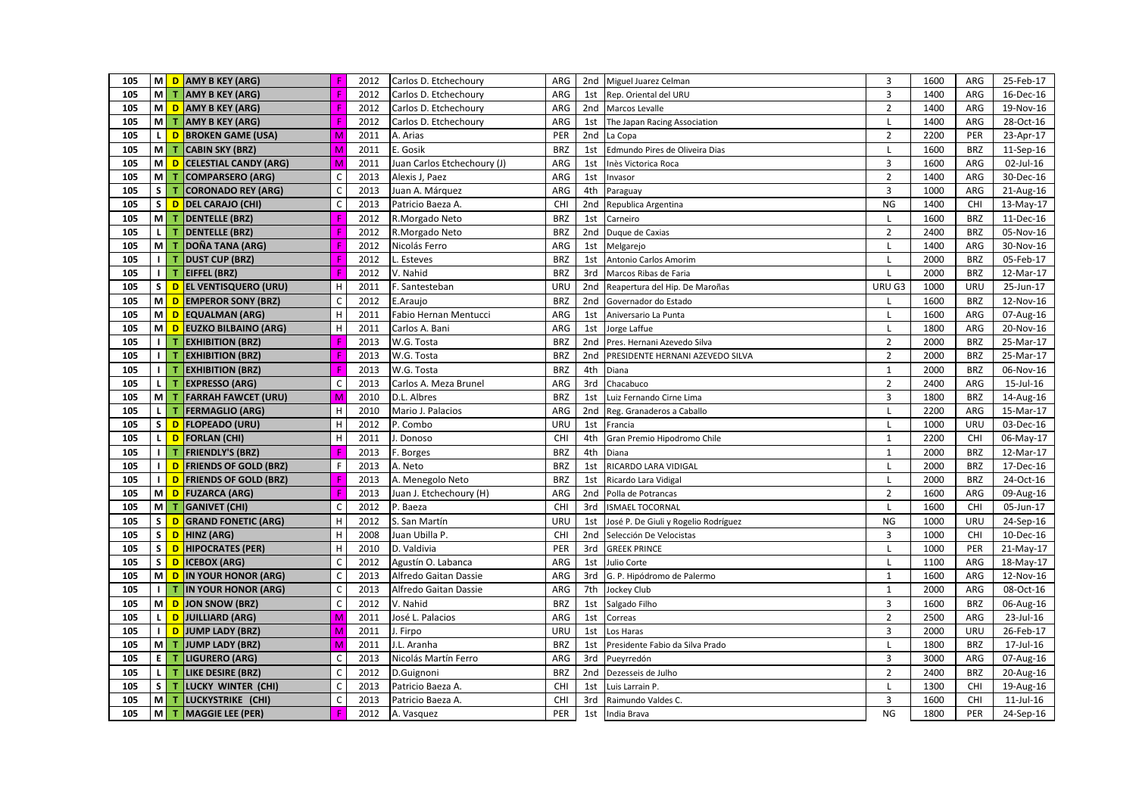| 105 |                   |     | M D AMY B KEY (ARG)          | F                         | 2012 | Carlos D. Etchechoury       | ARG        |                 | 2nd Miguel Juarez Celman             | 3              | 1600 | ARG        | 25-Feb-17       |
|-----|-------------------|-----|------------------------------|---------------------------|------|-----------------------------|------------|-----------------|--------------------------------------|----------------|------|------------|-----------------|
| 105 |                   | M T | <b>AMY B KEY (ARG)</b>       |                           | 2012 | Carlos D. Etchechoury       | ARG        | 1st             | Rep. Oriental del URU                | $\overline{3}$ | 1400 | ARG        | 16-Dec-16       |
| 105 |                   |     | M D AMY B KEY (ARG)          |                           | 2012 | Carlos D. Etchechoury       | ARG        |                 | 2nd Marcos Levalle                   | $\overline{2}$ | 1400 | ARG        | 19-Nov-16       |
| 105 |                   | M T | <b>AMY B KEY (ARG)</b>       |                           | 2012 | Carlos D. Etchechoury       | ARG        | 1st             | The Japan Racing Association         | L              | 1400 | ARG        | 28-Oct-16       |
| 105 | $\mathbf{L}$      | D   | <b>BROKEN GAME (USA)</b>     | M                         | 2011 | A. Arias                    | PER        | 2 <sub>nd</sub> | La Copa                              | $\overline{2}$ | 2200 | PER        | 23-Apr-17       |
| 105 | <b>M</b>          | т   | <b>CABIN SKY (BRZ)</b>       | M                         | 2011 | E. Gosik                    | <b>BRZ</b> | 1st             | Edmundo Pires de Oliveira Dias       |                | 1600 | <b>BRZ</b> | 11-Sep-16       |
| 105 | мI                |     | D CELESTIAL CANDY (ARG)      | M                         | 2011 | Juan Carlos Etchechoury (J) | ARG        | 1st             | Inès Victorica Roca                  | $\overline{3}$ | 1600 | ARG        | 02-Jul-16       |
| 105 | мI                | т   | <b>COMPARSERO (ARG)</b>      | $\mathsf{C}$              | 2013 | Alexis J, Paez              | ARG        | 1st             | Invasor                              | $\overline{2}$ | 1400 | ARG        | 30-Dec-16       |
| 105 | s l               | т   | <b>CORONADO REY (ARG)</b>    | $\mathsf C$               | 2013 | Juan A. Márquez             | ARG        | 4th             | Paraguay                             | $\overline{3}$ | 1000 | ARG        | 21-Aug-16       |
| 105 | S                 |     | D DEL CARAJO (CHI)           | $\mathsf C$               | 2013 | Patricio Baeza A.           | CHI        | 2 <sub>nd</sub> | Republica Argentina                  | <b>NG</b>      | 1400 | CHI        | 13-May-17       |
| 105 | <b>M</b>          | T   | <b>DENTELLE (BRZ)</b>        |                           | 2012 | R.Morgado Neto              | <b>BRZ</b> | 1st             | Carneiro                             | $\mathbf{I}$   | 1600 | <b>BRZ</b> | 11-Dec-16       |
| 105 | $\mathbf{L}$      | т   | <b>DENTELLE (BRZ)</b>        |                           | 2012 | R.Morgado Neto              | <b>BRZ</b> | 2nd             | Duque de Caxias                      | $\overline{2}$ | 2400 | <b>BRZ</b> | 05-Nov-16       |
| 105 | мI                | т   | DOÑA TANA (ARG)              |                           | 2012 | Nicolás Ferro               | ARG        | 1st             | Melgarejo                            | $\mathsf{L}$   | 1400 | ARG        | 30-Nov-16       |
| 105 | $\perp$           | T   | <b>DUST CUP (BRZ)</b>        |                           | 2012 | L. Esteves                  | <b>BRZ</b> | 1st             | Antonio Carlos Amorim                | L              | 2000 | <b>BRZ</b> | 05-Feb-17       |
| 105 | $\blacksquare$    | T.  | <b>EIFFEL (BRZ)</b>          |                           | 2012 | V. Nahid                    | <b>BRZ</b> | 3rd             | Marcos Ribas de Faria                | $\mathbf{I}$   | 2000 | <b>BRZ</b> | 12-Mar-17       |
| 105 | s l               |     | D EL VENTISQUERO (URU)       | $\mathsf H$               | 2011 | F. Santesteban              | URU        | 2nd             | Reapertura del Hip. De Maroñas       | URU G3         | 1000 | URU        | 25-Jun-17       |
| 105 | мI                |     | <b>D</b> EMPEROR SONY (BRZ)  | $\mathsf C$               | 2012 | E.Araujo                    | <b>BRZ</b> | 2 <sub>nd</sub> | Governador do Estado                 |                | 1600 | <b>BRZ</b> | 12-Nov-16       |
| 105 |                   |     | M D EQUALMAN (ARG)           | $\boldsymbol{\mathsf{H}}$ | 2011 | Fabio Hernan Mentucci       | ARG        | 1st             | Aniversario La Punta                 | L              | 1600 | ARG        | 07-Aug-16       |
| 105 |                   |     | M D EUZKO BILBAINO (ARG)     | H                         | 2011 | Carlos A. Bani              | ARG        | 1st             | Jorge Laffue                         | $\mathsf{L}$   | 1800 | ARG        | $20-Nov-16$     |
| 105 | $\blacksquare$    | T.  | <b>EXHIBITION (BRZ)</b>      | F                         | 2013 | W.G. Tosta                  | <b>BRZ</b> |                 | 2nd Pres. Hernani Azevedo Silva      | $\overline{2}$ | 2000 | <b>BRZ</b> | 25-Mar-17       |
| 105 | $\perp$           | T   | <b>EXHIBITION (BRZ)</b>      | F                         | 2013 | W.G. Tosta                  | <b>BRZ</b> | 2 <sub>nd</sub> | PRESIDENTE HERNANI AZEVEDO SILVA     | $\overline{2}$ | 2000 | <b>BRZ</b> | 25-Mar-17       |
| 105 | $\perp$           | T   | <b>EXHIBITION (BRZ)</b>      | F                         | 2013 | W.G. Tosta                  | <b>BRZ</b> | 4th             | Diana                                | $\mathbf{1}$   | 2000 | <b>BRZ</b> | 06-Nov-16       |
| 105 | $\mathsf{L}$      |     | <b>EXPRESSO (ARG)</b>        | $\mathsf C$               | 2013 | Carlos A. Meza Brunel       | ARG        | 3rd             | Chacabuco                            | $\overline{2}$ | 2400 | ARG        | 15-Jul-16       |
| 105 | M                 | т   | <b>FARRAH FAWCET (URU)</b>   | M                         | 2010 | D.L. Albres                 | <b>BRZ</b> | 1st             | Luiz Fernando Cirne Lima             | $\mathsf 3$    | 1800 | <b>BRZ</b> | 14-Aug-16       |
| 105 | $\mathbf{L}$      | т   | <b>FERMAGLIO (ARG)</b>       | $\,$ H                    | 2010 | Mario J. Palacios           | ARG        | 2nd             | Reg. Granaderos a Caballo            |                | 2200 | ARG        | 15-Mar-17       |
| 105 | s l               |     | D FLOPEADO (URU)             | $\mathsf H$               | 2012 | P. Combo                    | URU        | 1st             | Francia                              | $\mathsf{L}$   | 1000 | URU        | 03-Dec-16       |
| 105 | <b>L</b>          |     | D FORLAN (CHI)               | $\boldsymbol{\mathsf{H}}$ | 2011 | I. Donoso                   | CHI        | 4th             | Gran Premio Hipodromo Chile          | $\mathbf{1}$   | 2200 | CHI        | 06-May-17       |
| 105 | $\blacksquare$    | т   | <b>FRIENDLY'S (BRZ)</b>      |                           | 2013 | F. Borges                   | <b>BRZ</b> | 4th             | Diana                                | $\mathbf{1}$   | 2000 | <b>BRZ</b> | 12-Mar-17       |
| 105 | $\blacksquare$    | D   | <b>FRIENDS OF GOLD (BRZ)</b> | F                         | 2013 | A. Neto                     | <b>BRZ</b> | 1st             | RICARDO LARA VIDIGAL                 |                | 2000 | <b>BRZ</b> | 17-Dec-16       |
| 105 | $\blacksquare$    |     | D FRIENDS OF GOLD (BRZ)      | Æ                         | 2013 | A. Menegolo Neto            | <b>BRZ</b> | 1st             | Ricardo Lara Vidigal                 | L              | 2000 | <b>BRZ</b> | 24-Oct-16       |
| 105 |                   |     | M D FUZARCA (ARG)            | F                         | 2013 | Juan J. Etchechoury (H)     | ARG        | 2nd             | Polla de Potrancas                   | $\overline{2}$ | 1600 | ARG        | 09-Aug-16       |
| 105 |                   | M T | <b>GANIVET</b> (CHI)         | $\mathsf C$               | 2012 | P. Baeza                    | CHI        | 3rd             | <b>ISMAEL TOCORNAL</b>               | $\mathsf{L}$   | 1600 | CHI        | 05-Jun-17       |
| 105 | s l               |     | D GRAND FONETIC (ARG)        | H                         | 2012 | S. San Martín               | URU        | 1st             | José P. De Giuli y Rogelio Rodríguez | <b>NG</b>      | 1000 | URU        | 24-Sep-16       |
| 105 | s l               |     | D HINZ (ARG)                 | H                         | 2008 | Juan Ubilla P.              | CHI        | 2 <sub>nd</sub> | Selección De Velocistas              | $\overline{3}$ | 1000 | CHI        | 10-Dec-16       |
| 105 | $\vert$ s $\vert$ |     | D HIPOCRATES (PER)           | $\mathsf H$               | 2010 | D. Valdivia                 | PER        | 3rd             | <b>GREEK PRINCE</b>                  |                | 1000 | PER        | 21-May-17       |
| 105 |                   |     | S D ICEBOX (ARG)             | $\mathsf C$               | 2012 | Agustín O. Labanca          | ARG        | 1st             | Julio Corte                          | L              | 1100 | ARG        | 18-May-17       |
| 105 | мI                |     | D IN YOUR HONOR (ARG)        | $\mathsf C$               | 2013 | Alfredo Gaitan Dassie       | ARG        | 3rd             | G. P. Hipódromo de Palermo           | $\mathbf{1}$   | 1600 | ARG        | 12-Nov-16       |
| 105 | $\perp$           | т   | IN YOUR HONOR (ARG)          | $\mathsf C$               | 2013 | Alfredo Gaitan Dassie       | ARG        | 7th             | Jockey Club                          | $\mathbf{1}$   | 2000 | ARG        | 08-Oct-16       |
| 105 | мI                |     | <b>D</b> JON SNOW (BRZ)      | $\mathsf{C}$              | 2012 | V. Nahid                    | <b>BRZ</b> | 1st             | Salgado Filho                        | 3              | 1600 | <b>BRZ</b> | 06-Aug-16       |
| 105 | $\mathbf{L}$      |     | D JUILLIARD (ARG)            | M                         | 2011 | José L. Palacios            | ARG        | 1st             | Correas                              | $\overline{2}$ | 2500 | ARG        | 23-Jul-16       |
| 105 | $\blacksquare$    | D   | JUMP LADY (BRZ)              | M                         | 2011 | J. Firpo                    | URU        | 1st             | Los Haras                            | $\overline{3}$ | 2000 | URU        | 26-Feb-17       |
| 105 | <b>M</b>          | т   | <b>JUMP LADY (BRZ)</b>       | M                         | 2011 | J.L. Aranha                 | <b>BRZ</b> | 1st             | Presidente Fabio da Silva Prado      |                | 1800 | <b>BRZ</b> | 17-Jul-16       |
| 105 | E                 | т   | <b>LIGURERO (ARG)</b>        | $\mathsf{C}$              | 2013 | Nicolás Martín Ferro        | ARG        | 3rd             | Pueyrredón                           | $\overline{3}$ | 3000 | ARG        | 07-Aug-16       |
| 105 | $\mathsf{L}$      | T.  | <b>LIKE DESIRE (BRZ)</b>     | $\mathsf C$               | 2012 | D.Guignoni                  | <b>BRZ</b> | 2nd             | Dezesseis de Julho                   | $\overline{2}$ | 2400 | <b>BRZ</b> | 20-Aug-16       |
| 105 | $\mathsf{S}$      | T   | LUCKY WINTER (CHI)           | $\mathsf{C}$              | 2013 | Patricio Baeza A.           | CHI        | 1st             | Luis Larrain P.                      | $\mathsf{L}$   | 1300 | CHI        | 19-Aug-16       |
| 105 | мI                | T   | LUCKYSTRIKE (CHI)            | C                         | 2013 | Patricio Baeza A.           | CHI        | 3rd             | Raimundo Valdes C.                   | $\overline{3}$ | 1600 | CHI        | $11$ -Jul- $16$ |
| 105 | мI                | T   | MAGGIE LEE (PER)             | F                         | 2012 | A. Vasquez                  | PER        |                 | 1st India Brava                      | <b>NG</b>      | 1800 | PER        | 24-Sep-16       |